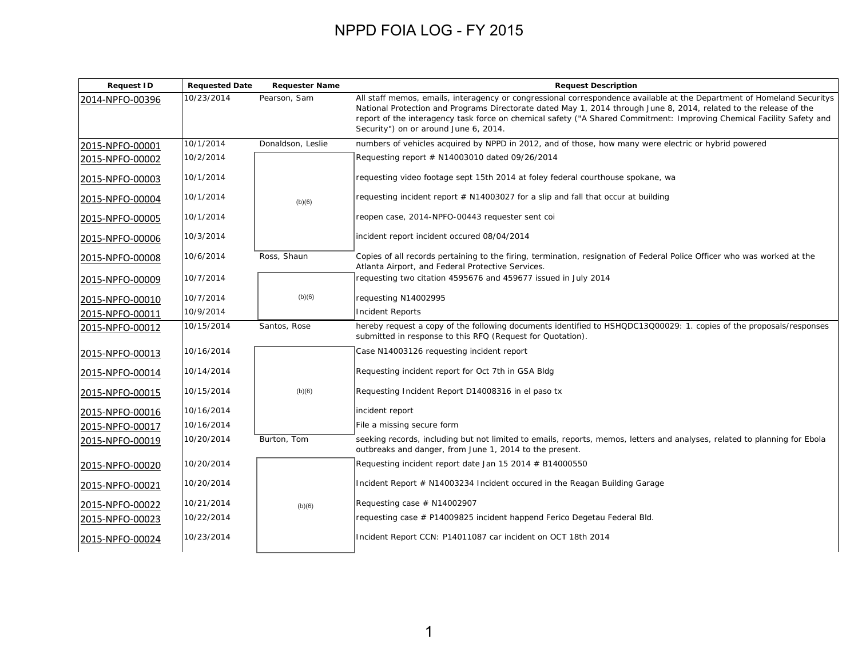| <b>Request ID</b> | <b>Requested Date</b> | <b>Requester Name</b> | <b>Request Description</b>                                                                                                                                                                                                                                                                                                                                                                                     |
|-------------------|-----------------------|-----------------------|----------------------------------------------------------------------------------------------------------------------------------------------------------------------------------------------------------------------------------------------------------------------------------------------------------------------------------------------------------------------------------------------------------------|
| 2014-NPFO-00396   | 10/23/2014            | Pearson, Sam          | All staff memos, emails, interagency or congressional correspondence available at the Department of Homeland Securitys<br>National Protection and Programs Directorate dated May 1, 2014 through June 8, 2014, related to the release of the<br>report of the interagency task force on chemical safety ("A Shared Commitment: Improving Chemical Facility Safety and<br>Security") on or around June 6, 2014. |
| 2015-NPFO-00001   | 10/1/2014             | Donaldson, Leslie     | numbers of vehicles acquired by NPPD in 2012, and of those, how many were electric or hybrid powered                                                                                                                                                                                                                                                                                                           |
| 2015-NPFO-00002   | 10/2/2014             |                       | Requesting report $#$ N14003010 dated 09/26/2014                                                                                                                                                                                                                                                                                                                                                               |
| 2015-NPFO-00003   | 10/1/2014             |                       | requesting video footage sept 15th 2014 at foley federal courthouse spokane, wa                                                                                                                                                                                                                                                                                                                                |
| 2015-NPFO-00004   | 10/1/2014             | (b)(6)                | requesting incident report $#$ N14003027 for a slip and fall that occur at building                                                                                                                                                                                                                                                                                                                            |
| 2015-NPFO-00005   | 10/1/2014             |                       | reopen case, 2014-NPFO-00443 requester sent coi                                                                                                                                                                                                                                                                                                                                                                |
| 2015-NPFO-00006   | 10/3/2014             |                       | incident report incident occured 08/04/2014                                                                                                                                                                                                                                                                                                                                                                    |
| 2015-NPFO-00008   | 10/6/2014             | Ross, Shaun           | Copies of all records pertaining to the firing, termination, resignation of Federal Police Officer who was worked at the<br>Atlanta Airport, and Federal Protective Services.                                                                                                                                                                                                                                  |
| 2015-NPFO-00009   | 10/7/2014             |                       | requesting two citation 4595676 and 459677 issued in July 2014                                                                                                                                                                                                                                                                                                                                                 |
| 2015-NPFO-00010   | 10/7/2014             | (b)(6)                | requesting N14002995                                                                                                                                                                                                                                                                                                                                                                                           |
| 2015-NPFO-00011   | 10/9/2014             |                       | <b>Incident Reports</b>                                                                                                                                                                                                                                                                                                                                                                                        |
| 2015-NPFO-00012   | 10/15/2014            | Santos, Rose          | hereby request a copy of the following documents identified to HSHQDC13Q00029: 1. copies of the proposals/responses<br>submitted in response to this RFQ (Request for Quotation).                                                                                                                                                                                                                              |
| 2015-NPFO-00013   | 10/16/2014            |                       | Case N14003126 requesting incident report                                                                                                                                                                                                                                                                                                                                                                      |
| 2015-NPFO-00014   | 10/14/2014            |                       | Requesting incident report for Oct 7th in GSA Bldg                                                                                                                                                                                                                                                                                                                                                             |
| 2015-NPFO-00015   | 10/15/2014            | (b)(6)                | Requesting Incident Report D14008316 in el paso tx                                                                                                                                                                                                                                                                                                                                                             |
| 2015-NPFO-00016   | 10/16/2014            |                       | incident report                                                                                                                                                                                                                                                                                                                                                                                                |
| 2015-NPFO-00017   | 10/16/2014            |                       | File a missing secure form                                                                                                                                                                                                                                                                                                                                                                                     |
| 2015-NPFO-00019   | 10/20/2014            | Burton, Tom           | seeking records, including but not limited to emails, reports, memos, letters and analyses, related to planning for Ebola<br>outbreaks and danger, from June 1, 2014 to the present.                                                                                                                                                                                                                           |
| 2015-NPFO-00020   | 10/20/2014            |                       | Requesting incident report date Jan 15 2014 # B14000550                                                                                                                                                                                                                                                                                                                                                        |
| 2015-NPFO-00021   | 10/20/2014            |                       | Incident Report $#$ N14003234 Incident occured in the Reagan Building Garage                                                                                                                                                                                                                                                                                                                                   |
| 2015-NPFO-00022   | 10/21/2014            | (b)(6)                | Requesting case $#$ N14002907                                                                                                                                                                                                                                                                                                                                                                                  |
| 2015-NPFO-00023   | 10/22/2014            |                       | requesting case # P14009825 incident happend Ferico Degetau Federal Bld.                                                                                                                                                                                                                                                                                                                                       |
| 2015-NPFO-00024   | 10/23/2014            |                       | Incident Report CCN: P14011087 car incident on OCT 18th 2014                                                                                                                                                                                                                                                                                                                                                   |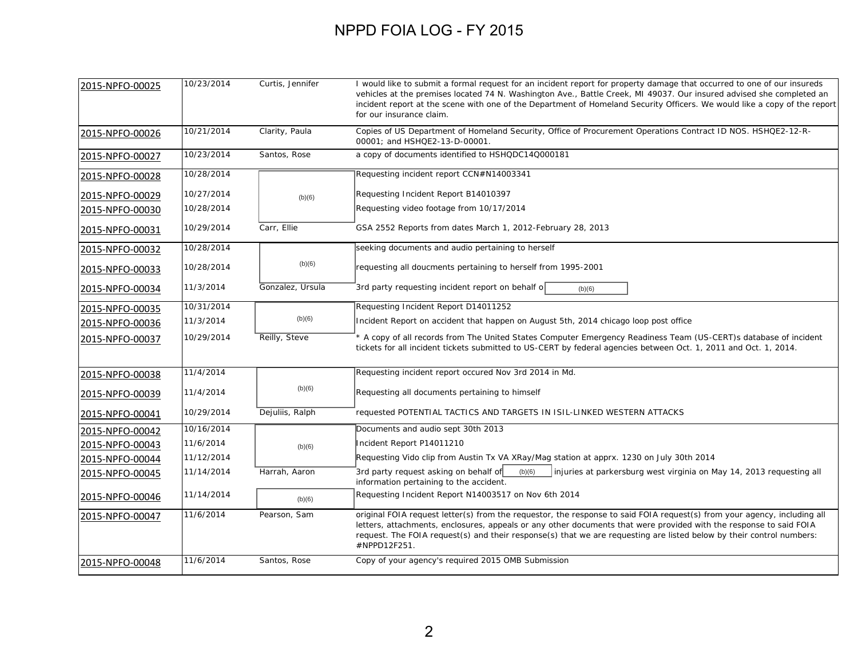| 2015-NPFO-00025 | 10/23/2014 | Curtis, Jennifer | I would like to submit a formal request for an incident report for property damage that occurred to one of our insureds<br>vehicles at the premises located 74 N. Washington Ave., Battle Creek, MI 49037. Our insured advised she completed an<br>incident report at the scene with one of the Department of Homeland Security Officers. We would like a copy of the report<br>for our insurance claim. |
|-----------------|------------|------------------|----------------------------------------------------------------------------------------------------------------------------------------------------------------------------------------------------------------------------------------------------------------------------------------------------------------------------------------------------------------------------------------------------------|
| 2015-NPFO-00026 | 10/21/2014 | Clarity, Paula   | Copies of US Department of Homeland Security, Office of Procurement Operations Contract ID NOS. HSHQE2-12-R-<br>00001; and HSHQE2-13-D-00001.                                                                                                                                                                                                                                                            |
| 2015-NPFO-00027 | 10/23/2014 | Santos, Rose     | a copy of documents identified to HSHQDC14Q000181                                                                                                                                                                                                                                                                                                                                                        |
| 2015-NPFO-00028 | 10/28/2014 |                  | Requesting incident report CCN#N14003341                                                                                                                                                                                                                                                                                                                                                                 |
| 2015-NPFO-00029 | 10/27/2014 | (b)(6)           | Requesting Incident Report B14010397                                                                                                                                                                                                                                                                                                                                                                     |
| 2015-NPFO-00030 | 10/28/2014 |                  | Requesting video footage from 10/17/2014                                                                                                                                                                                                                                                                                                                                                                 |
| 2015-NPFO-00031 | 10/29/2014 | Carr, Ellie      | GSA 2552 Reports from dates March 1, 2012-February 28, 2013                                                                                                                                                                                                                                                                                                                                              |
| 2015-NPFO-00032 | 10/28/2014 |                  | seeking documents and audio pertaining to herself                                                                                                                                                                                                                                                                                                                                                        |
| 2015-NPFO-00033 | 10/28/2014 | (b)(6)           | requesting all doucments pertaining to herself from 1995-2001                                                                                                                                                                                                                                                                                                                                            |
| 2015-NPFO-00034 | 11/3/2014  | Gonzalez, Ursula | 3rd party requesting incident report on behalf o<br>(b)(6)                                                                                                                                                                                                                                                                                                                                               |
| 2015-NPFO-00035 | 10/31/2014 |                  | Requesting Incident Report D14011252                                                                                                                                                                                                                                                                                                                                                                     |
| 2015-NPFO-00036 | 11/3/2014  | (b)(6)           | Incident Report on accident that happen on August 5th, 2014 chicago loop post office                                                                                                                                                                                                                                                                                                                     |
| 2015-NPFO-00037 | 10/29/2014 | Reilly, Steve    | * A copy of all records from The United States Computer Emergency Readiness Team (US-CERT)s database of incident<br>tickets for all incident tickets submitted to US-CERT by federal agencies between Oct. 1, 2011 and Oct. 1, 2014.                                                                                                                                                                     |
| 2015-NPFO-00038 | 11/4/2014  |                  | Requesting incident report occured Nov 3rd 2014 in Md.                                                                                                                                                                                                                                                                                                                                                   |
| 2015-NPFO-00039 | 11/4/2014  | (b)(6)           | Requesting all documents pertaining to himself                                                                                                                                                                                                                                                                                                                                                           |
| 2015-NPFO-00041 | 10/29/2014 | Dejuliis, Ralph  | requested POTENTIAL TACTICS AND TARGETS IN ISIL-LINKED WESTERN ATTACKS                                                                                                                                                                                                                                                                                                                                   |
| 2015-NPFO-00042 | 10/16/2014 |                  | Documents and audio sept 30th 2013                                                                                                                                                                                                                                                                                                                                                                       |
| 2015-NPFO-00043 | 11/6/2014  | (b)(6)           | Incident Report P14011210                                                                                                                                                                                                                                                                                                                                                                                |
| 2015-NPFO-00044 | 11/12/2014 |                  | Requesting Vido clip from Austin Tx VA XRay/Mag station at apprx. 1230 on July 30th 2014                                                                                                                                                                                                                                                                                                                 |
| 2015-NPFO-00045 | 11/14/2014 | Harrah, Aaron    | (b)(6)<br>3rd party request asking on behalf of<br>injuries at parkersburg west virginia on May 14, 2013 requesting all<br>information pertaining to the accident.                                                                                                                                                                                                                                       |
| 2015-NPFO-00046 | 11/14/2014 | (b)(6)           | Requesting Incident Report N14003517 on Nov 6th 2014                                                                                                                                                                                                                                                                                                                                                     |
| 2015-NPFO-00047 | 11/6/2014  | Pearson, Sam     | original FOIA request letter(s) from the requestor, the response to said FOIA request(s) from your agency, including all<br>letters, attachments, enclosures, appeals or any other documents that were provided with the response to said FOIA<br>request. The FOIA request(s) and their response(s) that we are requesting are listed below by their control numbers:<br>#NPPD12F251.                   |
| 2015-NPFO-00048 | 11/6/2014  | Santos, Rose     | Copy of your agency's required 2015 OMB Submission                                                                                                                                                                                                                                                                                                                                                       |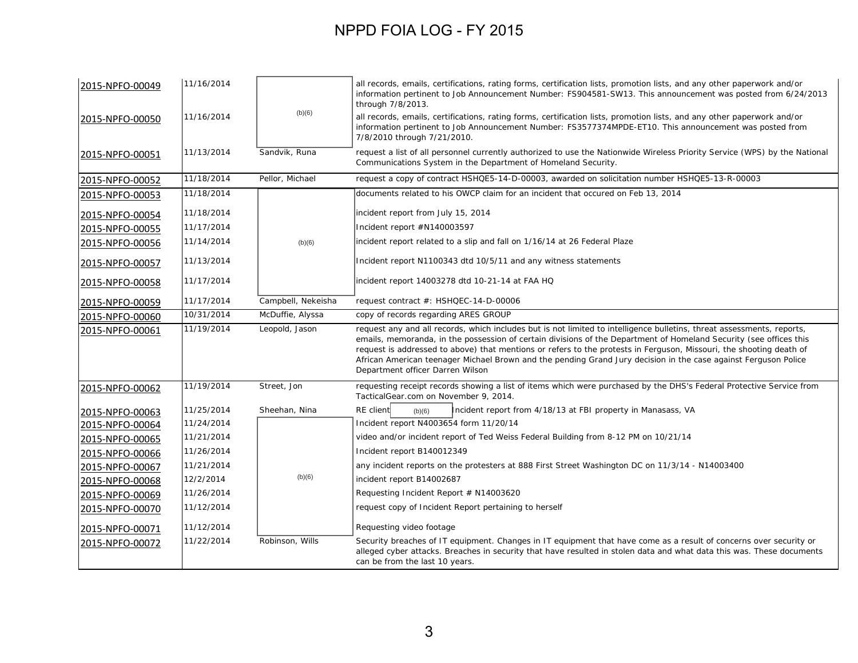| 2015-NPFO-00049 | 11/16/2014 |                    | all records, emails, certifications, rating forms, certification lists, promotion lists, and any other paperwork and/or<br>information pertinent to Job Announcement Number: FS904581-SW13. This announcement was posted from 6/24/2013<br>through 7/8/2013.                                                                                                                                                                                                                                                               |
|-----------------|------------|--------------------|----------------------------------------------------------------------------------------------------------------------------------------------------------------------------------------------------------------------------------------------------------------------------------------------------------------------------------------------------------------------------------------------------------------------------------------------------------------------------------------------------------------------------|
| 2015-NPFO-00050 | 11/16/2014 | (b)(6)             | all records, emails, certifications, rating forms, certification lists, promotion lists, and any other paperwork and/or<br>information pertinent to Job Announcement Number: FS3577374MPDE-ET10. This announcement was posted from<br>7/8/2010 through 7/21/2010.                                                                                                                                                                                                                                                          |
| 2015-NPFO-00051 | 11/13/2014 | Sandvik, Runa      | request a list of all personnel currently authorized to use the Nationwide Wireless Priority Service (WPS) by the National<br>Communications System in the Department of Homeland Security.                                                                                                                                                                                                                                                                                                                                |
| 2015-NPFO-00052 | 11/18/2014 | Pellor, Michael    | request a copy of contract HSHQE5-14-D-00003, awarded on solicitation number HSHQE5-13-R-00003                                                                                                                                                                                                                                                                                                                                                                                                                             |
| 2015-NPFO-00053 | 11/18/2014 |                    | documents related to his OWCP claim for an incident that occured on Feb 13, 2014                                                                                                                                                                                                                                                                                                                                                                                                                                           |
| 2015-NPFO-00054 | 11/18/2014 |                    | incident report from July 15, 2014                                                                                                                                                                                                                                                                                                                                                                                                                                                                                         |
| 2015-NPFO-00055 | 11/17/2014 |                    | Incident report #N140003597                                                                                                                                                                                                                                                                                                                                                                                                                                                                                                |
| 2015-NPFO-00056 | 11/14/2014 | (b)(6)             | incident report related to a slip and fall on 1/16/14 at 26 Federal Plaze                                                                                                                                                                                                                                                                                                                                                                                                                                                  |
| 2015-NPFO-00057 | 11/13/2014 |                    | Incident report N1100343 dtd 10/5/11 and any witness statements                                                                                                                                                                                                                                                                                                                                                                                                                                                            |
| 2015-NPFO-00058 | 11/17/2014 |                    | incident report 14003278 dtd 10-21-14 at FAA HQ                                                                                                                                                                                                                                                                                                                                                                                                                                                                            |
| 2015-NPFO-00059 | 11/17/2014 | Campbell, Nekeisha | request contract #: HSHQEC-14-D-00006                                                                                                                                                                                                                                                                                                                                                                                                                                                                                      |
| 2015-NPFO-00060 | 10/31/2014 | McDuffie, Alyssa   | copy of records regarding ARES GROUP                                                                                                                                                                                                                                                                                                                                                                                                                                                                                       |
| 2015-NPFO-00061 | 11/19/2014 | Leopold, Jason     | request any and all records, which includes but is not limited to intelligence bulletins, threat assessments, reports,<br>emails, memoranda, in the possession of certain divisions of the Department of Homeland Security (see offices this<br>request is addressed to above) that mentions or refers to the protests in Ferguson, Missouri, the shooting death of<br>African American teenager Michael Brown and the pending Grand Jury decision in the case against Ferguson Police<br>Department officer Darren Wilson |
| 2015-NPFO-00062 | 11/19/2014 | Street, Jon        | requesting receipt records showing a list of items which were purchased by the DHS's Federal Protective Service from<br>TacticalGear.com on November 9, 2014.                                                                                                                                                                                                                                                                                                                                                              |
| 2015-NPFO-00063 | 11/25/2014 | Sheehan, Nina      | RE client<br>ncident report from 4/18/13 at FBI property in Manasass, VA<br>(b)(6)                                                                                                                                                                                                                                                                                                                                                                                                                                         |
| 2015-NPFO-00064 | 11/24/2014 |                    | Incident report N4003654 form 11/20/14                                                                                                                                                                                                                                                                                                                                                                                                                                                                                     |
| 2015-NPFO-00065 | 11/21/2014 |                    | video and/or incident report of Ted Weiss Federal Building from 8-12 PM on 10/21/14                                                                                                                                                                                                                                                                                                                                                                                                                                        |
| 2015-NPFO-00066 | 11/26/2014 |                    | Incident report B140012349                                                                                                                                                                                                                                                                                                                                                                                                                                                                                                 |
| 2015-NPFO-00067 | 11/21/2014 |                    | any incident reports on the protesters at 888 First Street Washington DC on 11/3/14 - N14003400                                                                                                                                                                                                                                                                                                                                                                                                                            |
| 2015-NPFO-00068 | 12/2/2014  | (b)(6)             | incident report B14002687                                                                                                                                                                                                                                                                                                                                                                                                                                                                                                  |
| 2015-NPFO-00069 | 11/26/2014 |                    | Requesting Incident Report # N14003620                                                                                                                                                                                                                                                                                                                                                                                                                                                                                     |
| 2015-NPFO-00070 | 11/12/2014 |                    | request copy of Incident Report pertaining to herself                                                                                                                                                                                                                                                                                                                                                                                                                                                                      |
| 2015-NPFO-00071 | 11/12/2014 |                    | Requesting video footage                                                                                                                                                                                                                                                                                                                                                                                                                                                                                                   |
| 2015-NPFO-00072 | 11/22/2014 | Robinson, Wills    | Security breaches of IT equipment. Changes in IT equipment that have come as a result of concerns over security or<br>alleged cyber attacks. Breaches in security that have resulted in stolen data and what data this was. These documents<br>can be from the last 10 years.                                                                                                                                                                                                                                              |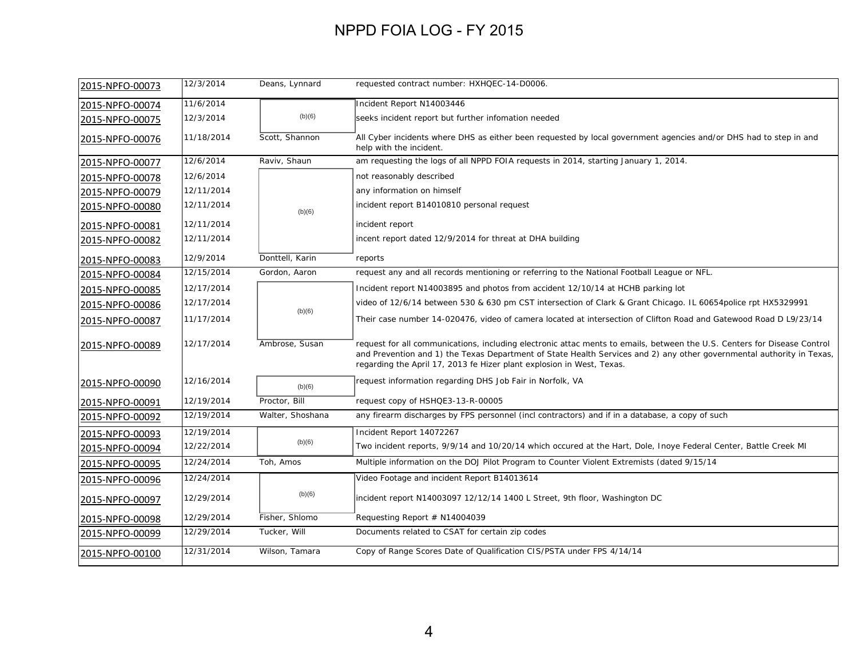| 2015-NPFO-00073 | 12/3/2014  | Deans, Lynnard   | requested contract number: HXHQEC-14-D0006.                                                                                                                                                                                                                                                                                |
|-----------------|------------|------------------|----------------------------------------------------------------------------------------------------------------------------------------------------------------------------------------------------------------------------------------------------------------------------------------------------------------------------|
| 2015-NPFO-00074 | 11/6/2014  |                  | Incident Report N14003446                                                                                                                                                                                                                                                                                                  |
| 2015-NPFO-00075 | 12/3/2014  | (b)(6)           | seeks incident report but further infomation needed                                                                                                                                                                                                                                                                        |
| 2015-NPFO-00076 | 11/18/2014 | Scott, Shannon   | All Cyber incidents where DHS as either been requested by local government agencies and/or DHS had to step in and<br>help with the incident.                                                                                                                                                                               |
| 2015-NPFO-00077 | 12/6/2014  | Raviv, Shaun     | am requesting the logs of all NPPD FOIA requests in 2014, starting January 1, 2014.                                                                                                                                                                                                                                        |
| 2015-NPFO-00078 | 12/6/2014  |                  | not reasonably described                                                                                                                                                                                                                                                                                                   |
| 2015-NPFO-00079 | 12/11/2014 |                  | any information on himself                                                                                                                                                                                                                                                                                                 |
| 2015-NPFO-00080 | 12/11/2014 | (b)(6)           | incident report B14010810 personal request                                                                                                                                                                                                                                                                                 |
| 2015-NPFO-00081 | 12/11/2014 |                  | incident report                                                                                                                                                                                                                                                                                                            |
| 2015-NPFO-00082 | 12/11/2014 |                  | incent report dated 12/9/2014 for threat at DHA building                                                                                                                                                                                                                                                                   |
| 2015-NPFO-00083 | 12/9/2014  | Donttell, Karin  | reports                                                                                                                                                                                                                                                                                                                    |
| 2015-NPFO-00084 | 12/15/2014 | Gordon, Aaron    | request any and all records mentioning or referring to the National Football League or NFL.                                                                                                                                                                                                                                |
| 2015-NPFO-00085 | 12/17/2014 |                  | Incident report N14003895 and photos from accident 12/10/14 at HCHB parking lot                                                                                                                                                                                                                                            |
| 2015-NPFO-00086 | 12/17/2014 |                  | video of 12/6/14 between 530 & 630 pm CST intersection of Clark & Grant Chicago. IL 60654police rpt HX5329991                                                                                                                                                                                                              |
| 2015-NPFO-00087 | 11/17/2014 | (b)(6)           | Their case number 14-020476, video of camera located at intersection of Clifton Road and Gatewood Road D L9/23/14                                                                                                                                                                                                          |
| 2015-NPFO-00089 | 12/17/2014 | Ambrose, Susan   | request for all communications, including electronic attac ments to emails, between the U.S. Centers for Disease Control<br>and Prevention and 1) the Texas Department of State Health Services and 2) any other governmental authority in Texas,<br>regarding the April 17, 2013 fe Hizer plant explosion in West, Texas. |
| 2015-NPFO-00090 | 12/16/2014 | (b)(6)           | request information regarding DHS Job Fair in Norfolk, VA                                                                                                                                                                                                                                                                  |
| 2015-NPFO-00091 | 12/19/2014 | Proctor, Bill    | request copy of HSHQE3-13-R-00005                                                                                                                                                                                                                                                                                          |
| 2015-NPFO-00092 | 12/19/2014 | Walter, Shoshana | any firearm discharges by FPS personnel (incl contractors) and if in a database, a copy of such                                                                                                                                                                                                                            |
| 2015-NPFO-00093 | 12/19/2014 |                  | Incident Report 14072267                                                                                                                                                                                                                                                                                                   |
| 2015-NPFO-00094 | 12/22/2014 | (b)(6)           | Two incident reports, 9/9/14 and 10/20/14 which occured at the Hart, Dole, Inoye Federal Center, Battle Creek MI                                                                                                                                                                                                           |
| 2015-NPFO-00095 | 12/24/2014 | Toh, Amos        | Multiple information on the DOJ Pilot Program to Counter Violent Extremists (dated 9/15/14                                                                                                                                                                                                                                 |
| 2015-NPFO-00096 | 12/24/2014 |                  | Video Footage and incident Report B14013614                                                                                                                                                                                                                                                                                |
| 2015-NPFO-00097 | 12/29/2014 | (b)(6)           | incident report N14003097 12/12/14 1400 L Street, 9th floor, Washington DC                                                                                                                                                                                                                                                 |
| 2015-NPFO-00098 | 12/29/2014 | Fisher, Shlomo   | Requesting Report $#$ N14004039                                                                                                                                                                                                                                                                                            |
| 2015-NPFO-00099 | 12/29/2014 | Tucker, Will     | Documents related to CSAT for certain zip codes                                                                                                                                                                                                                                                                            |
| 2015-NPFO-00100 | 12/31/2014 | Wilson, Tamara   | Copy of Range Scores Date of Qualification CIS/PSTA under FPS 4/14/14                                                                                                                                                                                                                                                      |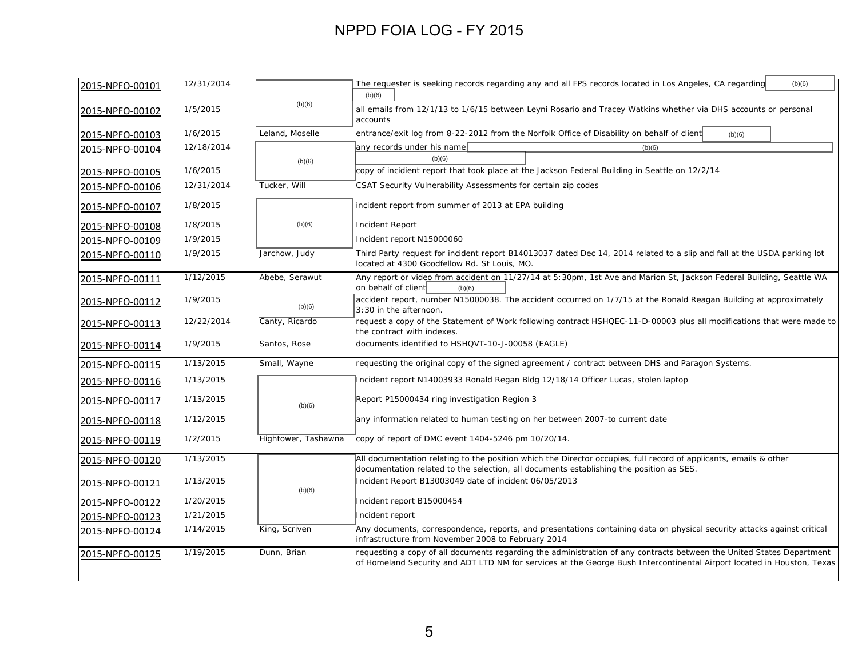| 2015-NPFO-00101 | 12/31/2014 |                     | (b)(6)<br>The requester is seeking records regarding any and all FPS records located in Los Angeles, CA regarding<br>(b)(6)                                                                                                                     |
|-----------------|------------|---------------------|-------------------------------------------------------------------------------------------------------------------------------------------------------------------------------------------------------------------------------------------------|
| 2015-NPFO-00102 | 1/5/2015   | (b)(6)              | all emails from 12/1/13 to 1/6/15 between Leyni Rosario and Tracey Watkins whether via DHS accounts or personal<br>accounts                                                                                                                     |
| 2015-NPFO-00103 | 1/6/2015   | Leland, Moselle     | entrance/exit log from 8-22-2012 from the Norfolk Office of Disability on behalf of client<br>(b)(6)                                                                                                                                            |
| 2015-NPFO-00104 | 12/18/2014 |                     | any records under his name<br>(b)(6)                                                                                                                                                                                                            |
|                 |            | (b)(6)              | (b)(6)                                                                                                                                                                                                                                          |
| 2015-NPFO-00105 | 1/6/2015   |                     | copy of incidient report that took place at the Jackson Federal Building in Seattle on 12/2/14                                                                                                                                                  |
| 2015-NPFO-00106 | 12/31/2014 | Tucker, Will        | CSAT Security Vulnerability Assessments for certain zip codes                                                                                                                                                                                   |
| 2015-NPFO-00107 | 1/8/2015   |                     | incident report from summer of 2013 at EPA building                                                                                                                                                                                             |
| 2015-NPFO-00108 | 1/8/2015   | (b)(6)              | Incident Report                                                                                                                                                                                                                                 |
| 2015-NPFO-00109 | 1/9/2015   |                     | Incident report N15000060                                                                                                                                                                                                                       |
| 2015-NPFO-00110 | 1/9/2015   | Jarchow, Judy       | Third Party request for incident report B14013037 dated Dec 14, 2014 related to a slip and fall at the USDA parking lot<br>located at 4300 Goodfellow Rd. St Louis, MO.                                                                         |
| 2015-NPFO-00111 | 1/12/2015  | Abebe, Serawut      | Any report or video from accident on 11/27/14 at 5:30pm, 1st Ave and Marion St, Jackson Federal Building, Seattle WA<br>on behalf of client<br>(b)(6)                                                                                           |
| 2015-NPFO-00112 | 1/9/2015   | (b)(6)              | accident report, number N15000038. The accident occurred on 1/7/15 at the Ronald Reagan Building at approximately<br>3:30 in the afternoon.                                                                                                     |
| 2015-NPFO-00113 | 12/22/2014 | Canty, Ricardo      | request a copy of the Statement of Work following contract HSHQEC-11-D-00003 plus all modifications that were made to<br>the contract with indexes.                                                                                             |
| 2015-NPFO-00114 | 1/9/2015   | Santos, Rose        | documents identified to HSHQVT-10-J-00058 (EAGLE)                                                                                                                                                                                               |
| 2015-NPFO-00115 | 1/13/2015  | Small, Wayne        | requesting the original copy of the signed agreement / contract between DHS and Paragon Systems.                                                                                                                                                |
| 2015-NPFO-00116 | 1/13/2015  |                     | Incident report N14003933 Ronald Regan Bldg 12/18/14 Officer Lucas, stolen laptop                                                                                                                                                               |
| 2015-NPFO-00117 | 1/13/2015  | (b)(6)              | Report P15000434 ring investigation Region 3                                                                                                                                                                                                    |
| 2015-NPFO-00118 | 1/12/2015  |                     | any information related to human testing on her between 2007-to current date                                                                                                                                                                    |
| 2015-NPFO-00119 | 1/2/2015   | Hightower, Tashawna | copy of report of DMC event 1404-5246 pm 10/20/14.                                                                                                                                                                                              |
| 2015-NPFO-00120 | 1/13/2015  |                     | All documentation relating to the position which the Director occupies, full record of applicants, emails & other<br>documentation related to the selection, all documents establishing the position as SES.                                    |
| 2015-NPFO-00121 | 1/13/2015  | (b)(6)              | Incident Report B13003049 date of incident 06/05/2013                                                                                                                                                                                           |
| 2015-NPFO-00122 | 1/20/2015  |                     | Incident report B15000454                                                                                                                                                                                                                       |
| 2015-NPFO-00123 | 1/21/2015  |                     | Incident report                                                                                                                                                                                                                                 |
| 2015-NPFO-00124 | 1/14/2015  | King, Scriven       | Any documents, correspondence, reports, and presentations containing data on physical security attacks against critical<br>infrastructure from November 2008 to February 2014                                                                   |
| 2015-NPFO-00125 | 1/19/2015  | Dunn, Brian         | requesting a copy of all documents regarding the administration of any contracts between the United States Department<br>of Homeland Security and ADT LTD NM for services at the George Bush Intercontinental Airport located in Houston, Texas |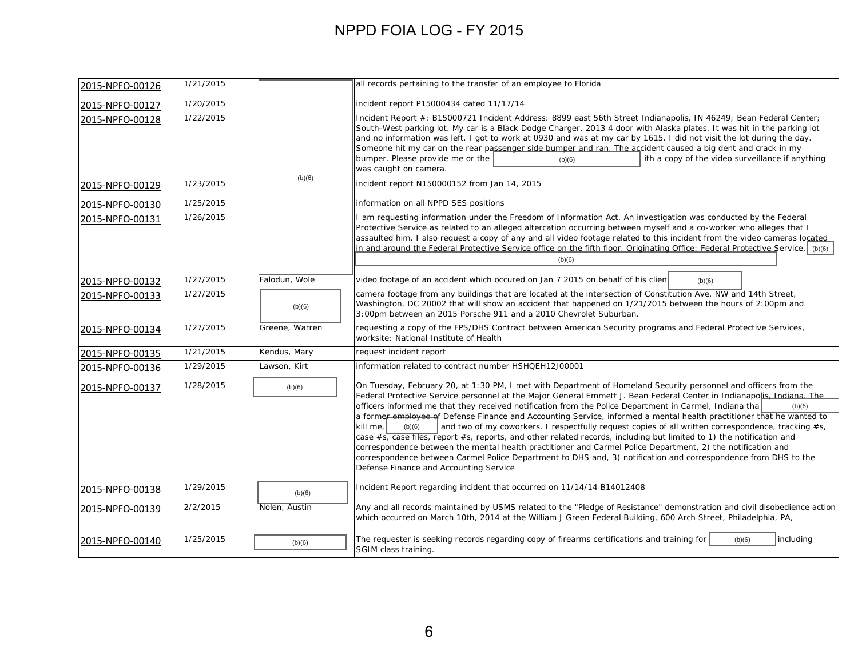| 2015-NPFO-00126 | 1/21/2015 |                | all records pertaining to the transfer of an employee to Florida                                                                                                                                                                                                                                                                                                                                                                                                                                                                                                                                                                                                                                                                                                                                                                                                                                                                                                                                                            |
|-----------------|-----------|----------------|-----------------------------------------------------------------------------------------------------------------------------------------------------------------------------------------------------------------------------------------------------------------------------------------------------------------------------------------------------------------------------------------------------------------------------------------------------------------------------------------------------------------------------------------------------------------------------------------------------------------------------------------------------------------------------------------------------------------------------------------------------------------------------------------------------------------------------------------------------------------------------------------------------------------------------------------------------------------------------------------------------------------------------|
| 2015-NPFO-00127 | 1/20/2015 |                | incident report P15000434 dated 11/17/14                                                                                                                                                                                                                                                                                                                                                                                                                                                                                                                                                                                                                                                                                                                                                                                                                                                                                                                                                                                    |
| 2015-NPFO-00128 | 1/22/2015 |                | Incident Report #: B15000721 Incident Address: 8899 east 56th Street Indianapolis, IN 46249; Bean Federal Center;<br>South-West parking lot. My car is a Black Dodge Charger, 2013 4 door with Alaska plates. It was hit in the parking lot<br>and no information was left. I got to work at 0930 and was at my car by 1615. I did not visit the lot during the day.<br>Someone hit my car on the rear passenger side bumper and ran. The accident caused a big dent and crack in my<br>bumper. Please provide me or the<br>ith a copy of the video surveillance if anything<br>(b)(6)<br>was caught on camera.                                                                                                                                                                                                                                                                                                                                                                                                             |
| 2015-NPFO-00129 | 1/23/2015 | (b)(6)         | incident report N150000152 from Jan 14, 2015                                                                                                                                                                                                                                                                                                                                                                                                                                                                                                                                                                                                                                                                                                                                                                                                                                                                                                                                                                                |
| 2015-NPFO-00130 | 1/25/2015 |                | information on all NPPD SES positions                                                                                                                                                                                                                                                                                                                                                                                                                                                                                                                                                                                                                                                                                                                                                                                                                                                                                                                                                                                       |
| 2015-NPFO-00131 | 1/26/2015 |                | I am requesting information under the Freedom of Information Act. An investigation was conducted by the Federal<br>Protective Service as related to an alleged altercation occurring between myself and a co-worker who alleges that I<br>assaulted him. I also request a copy of any and all video footage related to this incident from the video cameras located<br>in and around the Federal Protective Service office on the fifth floor. Originating Office: Federal Protective Service, (b)(6)<br>(b)(6)                                                                                                                                                                                                                                                                                                                                                                                                                                                                                                             |
| 2015-NPFO-00132 | 1/27/2015 | Falodun, Wole  | video footage of an accident which occured on Jan 7 2015 on behalf of his clien<br>(b)(6)                                                                                                                                                                                                                                                                                                                                                                                                                                                                                                                                                                                                                                                                                                                                                                                                                                                                                                                                   |
| 2015-NPFO-00133 | 1/27/2015 | (b)(6)         | camera footage from any buildings that are located at the intersection of Constitution Ave. NW and 14th Street,<br>Washington, DC 20002 that will show an accident that happened on 1/21/2015 between the hours of 2:00pm and<br>3:00pm between an 2015 Porsche 911 and a 2010 Chevrolet Suburban.                                                                                                                                                                                                                                                                                                                                                                                                                                                                                                                                                                                                                                                                                                                          |
| 2015-NPFO-00134 | 1/27/2015 | Greene, Warren | requesting a copy of the FPS/DHS Contract between American Security programs and Federal Protective Services,<br>worksite: National Institute of Health                                                                                                                                                                                                                                                                                                                                                                                                                                                                                                                                                                                                                                                                                                                                                                                                                                                                     |
| 2015-NPFO-00135 | 1/21/2015 | Kendus, Mary   | request incident report                                                                                                                                                                                                                                                                                                                                                                                                                                                                                                                                                                                                                                                                                                                                                                                                                                                                                                                                                                                                     |
| 2015-NPFO-00136 | 1/29/2015 | Lawson, Kirt   | information related to contract number HSHQEH12J00001                                                                                                                                                                                                                                                                                                                                                                                                                                                                                                                                                                                                                                                                                                                                                                                                                                                                                                                                                                       |
| 2015-NPFO-00137 | 1/28/2015 | (b)(6)         | On Tuesday, February 20, at 1:30 PM, I met with Department of Homeland Security personnel and officers from the<br>Federal Protective Service personnel at the Major General Emmett J. Bean Federal Center in Indianapolis, Indiana. The<br>officers informed me that they received notification from the Police Department in Carmel, Indiana tha<br>(b)(6)<br>a former employee of Defense Finance and Accounting Service, informed a mental health practitioner that he wanted to<br>and two of my coworkers. I respectfully request copies of all written correspondence, tracking #s,<br>kill me,<br>(b)(6)<br>case $\#s$ , case files, report $\#s$ , reports, and other related records, including but limited to 1) the notification and<br>correspondence between the mental health practitioner and Carmel Police Department, 2) the notification and<br>correspondence between Carmel Police Department to DHS and, 3) notification and correspondence from DHS to the<br>Defense Finance and Accounting Service |
| 2015-NPFO-00138 | 1/29/2015 | (b)(6)         | Incident Report regarding incident that occurred on 11/14/14 B14012408                                                                                                                                                                                                                                                                                                                                                                                                                                                                                                                                                                                                                                                                                                                                                                                                                                                                                                                                                      |
| 2015-NPFO-00139 | 2/2/2015  | Nolen, Austin  | Any and all records maintained by USMS related to the "Pledge of Resistance" demonstration and civil disobedience action<br>which occurred on March 10th, 2014 at the William J Green Federal Building, 600 Arch Street, Philadelphia, PA,                                                                                                                                                                                                                                                                                                                                                                                                                                                                                                                                                                                                                                                                                                                                                                                  |
| 2015-NPFO-00140 | 1/25/2015 | (b)(6)         | The requester is seeking records regarding copy of firearms certifications and training for<br>including<br>(b)(6)<br>SGIM class training.                                                                                                                                                                                                                                                                                                                                                                                                                                                                                                                                                                                                                                                                                                                                                                                                                                                                                  |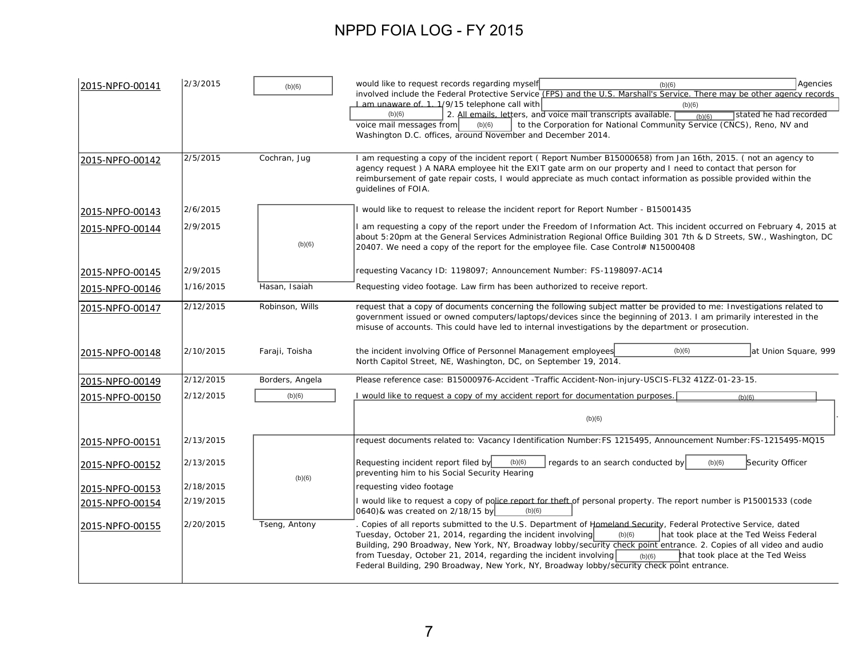| 2015-NPFO-00141 | 2/3/2015  | (b)(6)          | would like to request records regarding myself<br>Agencies<br>(b)(6)<br>involved include the Federal Protective Service (FPS) and the U.S. Marshall's Service. There may be other agency records<br>1 am unaware of 1.1/9/15 telephone call with<br>(b)(6)                                                                                                                                                                                                                                                                                                                    |
|-----------------|-----------|-----------------|-------------------------------------------------------------------------------------------------------------------------------------------------------------------------------------------------------------------------------------------------------------------------------------------------------------------------------------------------------------------------------------------------------------------------------------------------------------------------------------------------------------------------------------------------------------------------------|
|                 |           |                 | 2. All emails, letters, and voice mail transcripts available.<br>(b)(6)<br>stated he had recorded<br>(b)(6)<br>to the Corporation for National Community Service (CNCS), Reno, NV and<br>voice mail messages from<br>(b)(6)<br>Washington D.C. offices, around November and December 2014.                                                                                                                                                                                                                                                                                    |
| 2015-NPFO-00142 | 2/5/2015  | Cochran, Jug    | I am requesting a copy of the incident report (Report Number B15000658) from Jan 16th, 2015. (not an agency to<br>agency request) A NARA employee hit the EXIT gate arm on our property and I need to contact that person for<br>reimbursement of gate repair costs, I would appreciate as much contact information as possible provided within the<br>quidelines of FOIA.                                                                                                                                                                                                    |
| 2015-NPFO-00143 | 2/6/2015  |                 | I would like to request to release the incident report for Report Number - B15001435                                                                                                                                                                                                                                                                                                                                                                                                                                                                                          |
| 2015-NPFO-00144 | 2/9/2015  | (b)(6)          | I am requesting a copy of the report under the Freedom of Information Act. This incident occurred on February 4, 2015 at<br>about 5:20pm at the General Services Administration Regional Office Building 301 7th & D Streets, SW., Washington, DC<br>20407. We need a copy of the report for the employee file. Case Control# N15000408                                                                                                                                                                                                                                       |
| 2015-NPFO-00145 | 2/9/2015  |                 | requesting Vacancy ID: 1198097; Announcement Number: FS-1198097-AC14                                                                                                                                                                                                                                                                                                                                                                                                                                                                                                          |
| 2015-NPFO-00146 | 1/16/2015 | Hasan, Isaiah   | Requesting video footage. Law firm has been authorized to receive report.                                                                                                                                                                                                                                                                                                                                                                                                                                                                                                     |
| 2015-NPFO-00147 | 2/12/2015 | Robinson, Wills | request that a copy of documents concerning the following subject matter be provided to me: Investigations related to<br>government issued or owned computers/laptops/devices since the beginning of 2013. I am primarily interested in the<br>misuse of accounts. This could have led to internal investigations by the department or prosecution.                                                                                                                                                                                                                           |
| 2015-NPFO-00148 | 2/10/2015 | Faraji, Toisha  | the incident involving Office of Personnel Management employees<br>(b)(6)<br>at Union Square, 999<br>North Capitol Street, NE, Washington, DC, on September 19, 2014.                                                                                                                                                                                                                                                                                                                                                                                                         |
| 2015-NPFO-00149 | 2/12/2015 | Borders, Angela | Please reference case: B15000976-Accident -Traffic Accident-Non-injury-USCIS-FL32 41ZZ-01-23-15.                                                                                                                                                                                                                                                                                                                                                                                                                                                                              |
| 2015-NPFO-00150 | 2/12/2015 | (b)(6)          | I would like to request a copy of my accident report for documentation purposes.<br>(b)(6)                                                                                                                                                                                                                                                                                                                                                                                                                                                                                    |
|                 |           |                 | (b)(6)                                                                                                                                                                                                                                                                                                                                                                                                                                                                                                                                                                        |
| 2015-NPFO-00151 | 2/13/2015 |                 | request documents related to: Vacancy Identification Number: FS 1215495, Announcement Number: FS-1215495-MQ15                                                                                                                                                                                                                                                                                                                                                                                                                                                                 |
| 2015-NPFO-00152 | 2/13/2015 |                 | Requesting incident report filed by<br>(b)(6)<br>regards to an search conducted by<br>Security Officer<br>(b)(6)<br>preventing him to his Social Security Hearing                                                                                                                                                                                                                                                                                                                                                                                                             |
| 2015-NPFO-00153 | 2/18/2015 | (b)(6)          | requesting video footage                                                                                                                                                                                                                                                                                                                                                                                                                                                                                                                                                      |
| 2015-NPFO-00154 | 2/19/2015 |                 | I would like to request a copy of police report for theft of personal property. The report number is P15001533 (code<br>0640) & was created on 2/18/15 by<br>(b)(6)                                                                                                                                                                                                                                                                                                                                                                                                           |
| 2015-NPFO-00155 | 2/20/2015 | Tseng, Antony   | . Copies of all reports submitted to the U.S. Department of Homeland Security, Federal Protective Service, dated<br>Tuesday, October 21, 2014, regarding the incident involving<br>hat took place at the Ted Weiss Federal<br>(b)(6)<br>Building, 290 Broadway, New York, NY, Broadway lobby/security check point entrance. 2. Copies of all video and audio<br>from Tuesday, October 21, 2014, regarding the incident involving<br>that took place at the Ted Weiss<br>(b)(6)<br>Federal Building, 290 Broadway, New York, NY, Broadway lobby/security check point entrance. |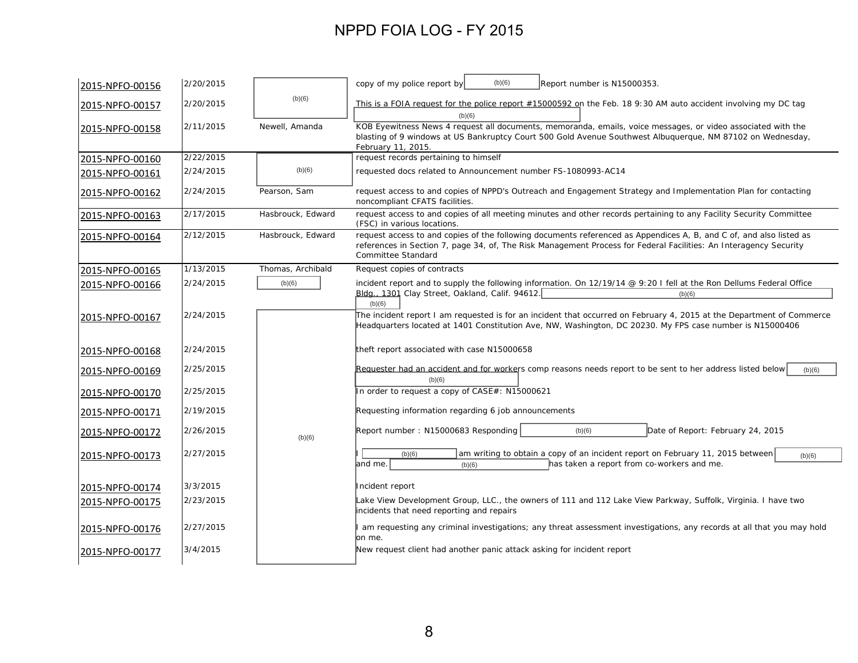| 2015-NPFO-00156 | 2/20/2015 |                   | (b)(6)<br>copy of my police report by<br>Report number is N15000353.                                                                                                                                                                                           |
|-----------------|-----------|-------------------|----------------------------------------------------------------------------------------------------------------------------------------------------------------------------------------------------------------------------------------------------------------|
| 2015-NPFO-00157 | 2/20/2015 | (b)(6)            | This is a FOIA request for the police report #15000592 on the Feb. 18 9:30 AM auto accident involving my DC tag<br>(b)(6)                                                                                                                                      |
| 2015-NPFO-00158 | 2/11/2015 | Newell, Amanda    | KOB Eyewitness News 4 request all documents, memoranda, emails, voice messages, or video associated with the<br>blasting of 9 windows at US Bankruptcy Court 500 Gold Avenue Southwest Albuquerque, NM 87102 on Wednesday,<br>February 11, 2015.               |
| 2015-NPFO-00160 | 2/22/2015 |                   | request records pertaining to himself                                                                                                                                                                                                                          |
| 2015-NPFO-00161 | 2/24/2015 | (b)(6)            | requested docs related to Announcement number FS-1080993-AC14                                                                                                                                                                                                  |
| 2015-NPFO-00162 | 2/24/2015 | Pearson, Sam      | request access to and copies of NPPD's Outreach and Engagement Strategy and Implementation Plan for contacting<br>noncompliant CFATS facilities.                                                                                                               |
| 2015-NPFO-00163 | 2/17/2015 | Hasbrouck, Edward | request access to and copies of all meeting minutes and other records pertaining to any Facility Security Committee<br>(FSC) in various locations.                                                                                                             |
| 2015-NPFO-00164 | 2/12/2015 | Hasbrouck, Edward | request access to and copies of the following documents referenced as Appendices A, B, and C of, and also listed as<br>references in Section 7, page 34, of, The Risk Management Process for Federal Facilities: An Interagency Security<br>Committee Standard |
| 2015-NPFO-00165 | 1/13/2015 | Thomas, Archibald | Request copies of contracts                                                                                                                                                                                                                                    |
| 2015-NPFO-00166 | 2/24/2015 | (b)(6)            | incident report and to supply the following information. On 12/19/14 @ 9:20 I fell at the Ron Dellums Federal Office<br>Bldg., 1301 Clay Street, Oakland, Calif. 94612.<br>(b)(6)                                                                              |
| 2015-NPFO-00167 | 2/24/2015 |                   | (b)(6)<br>The incident report I am requested is for an incident that occurred on February 4, 2015 at the Department of Commerce<br>Headquarters located at 1401 Constitution Ave, NW, Washington, DC 20230. My FPS case number is N15000406                    |
| 2015-NPFO-00168 | 2/24/2015 |                   | theft report associated with case N15000658                                                                                                                                                                                                                    |
| 2015-NPFO-00169 | 2/25/2015 |                   | Requester had an accident and for workers comp reasons needs report to be sent to her address listed below<br>(b)(6)<br>(b)(6)                                                                                                                                 |
| 2015-NPFO-00170 | 2/25/2015 |                   | In order to request a copy of CASE#: N15000621                                                                                                                                                                                                                 |
| 2015-NPFO-00171 | 2/19/2015 |                   | Requesting information regarding 6 job announcements                                                                                                                                                                                                           |
| 2015-NPFO-00172 | 2/26/2015 | (b)(6)            | Report number: N15000683 Responding<br>Date of Report: February 24, 2015<br>(b)(6)                                                                                                                                                                             |
| 2015-NPFO-00173 | 2/27/2015 |                   | am writing to obtain a copy of an incident report on February 11, 2015 between<br>(b)(6)<br>(b)(6)<br>and me.<br>has taken a report from co-workers and me.<br>(b)(6)                                                                                          |
| 2015-NPFO-00174 | 3/3/2015  |                   | Incident report                                                                                                                                                                                                                                                |
| 2015-NPFO-00175 | 2/23/2015 |                   | Lake View Development Group, LLC., the owners of 111 and 112 Lake View Parkway, Suffolk, Virginia. I have two<br>incidents that need reporting and repairs                                                                                                     |
| 2015-NPFO-00176 | 2/27/2015 |                   | am requesting any criminal investigations; any threat assessment investigations, any records at all that you may hold<br>lon me.                                                                                                                               |
| 2015-NPFO-00177 | 3/4/2015  |                   | New request client had another panic attack asking for incident report                                                                                                                                                                                         |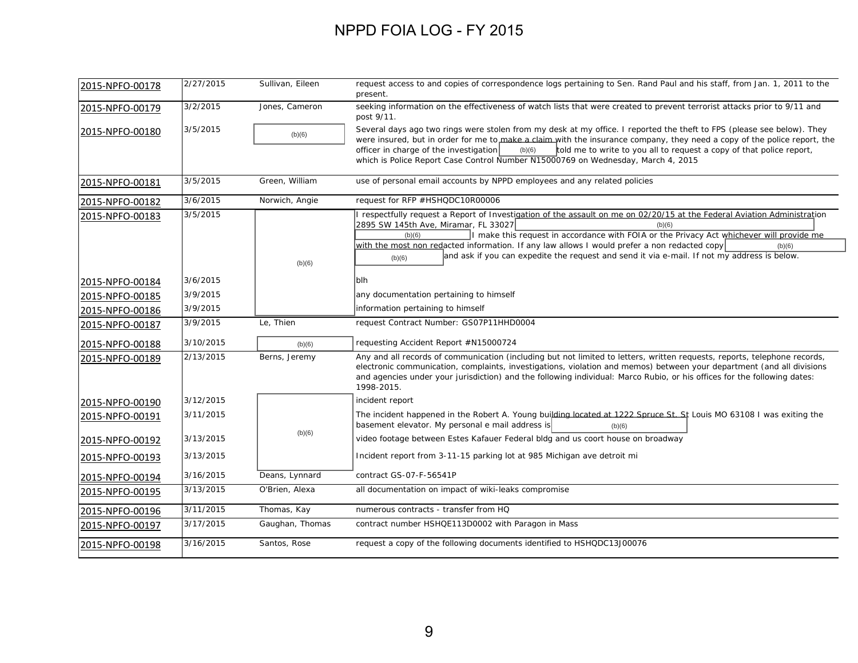| 2015-NPFO-00178 | 2/27/2015 | Sullivan, Eileen | request access to and copies of correspondence logs pertaining to Sen. Rand Paul and his staff, from Jan. 1, 2011 to the<br>present.                                                                                                                                                                                                                                                                                                                                                                        |
|-----------------|-----------|------------------|-------------------------------------------------------------------------------------------------------------------------------------------------------------------------------------------------------------------------------------------------------------------------------------------------------------------------------------------------------------------------------------------------------------------------------------------------------------------------------------------------------------|
| 2015-NPFO-00179 | 3/2/2015  | Jones, Cameron   | seeking information on the effectiveness of watch lists that were created to prevent terrorist attacks prior to 9/11 and<br>post 9/11.                                                                                                                                                                                                                                                                                                                                                                      |
| 2015-NPFO-00180 | 3/5/2015  | (b)(6)           | Several days ago two rings were stolen from my desk at my office. I reported the theft to FPS (please see below). They<br>were insured, but in order for me to make a claim with the insurance company, they need a copy of the police report, the<br>officer in charge of the investigation<br>(b)(6)<br>told me to write to you all to request a copy of that police report,<br>which is Police Report Case Control Number N15000769 on Wednesday, March 4, 2015                                          |
| 2015-NPFO-00181 | 3/5/2015  | Green, William   | use of personal email accounts by NPPD employees and any related policies                                                                                                                                                                                                                                                                                                                                                                                                                                   |
| 2015-NPFO-00182 | 3/6/2015  | Norwich, Angie   | request for RFP #HSHQDC10R00006                                                                                                                                                                                                                                                                                                                                                                                                                                                                             |
| 2015-NPFO-00183 | 3/5/2015  | (b)(6)           | I respectfully request a Report of Investigation of the assault on me on 02/20/15 at the Federal Aviation Administration<br>2895 SW 145th Ave, Miramar, FL 33027<br>(b)(6)<br>I make this request in accordance with FOIA or the Privacy Act whichever will provide me<br>(b)(6)<br>with the most non redacted information. If any law allows I would prefer a non redacted copy<br>(b)(6)<br>and ask if you can expedite the request and send it via e-mail. If not $m\bar{y}$ address is below.<br>(b)(6) |
| 2015-NPFO-00184 | 3/6/2015  |                  | blh                                                                                                                                                                                                                                                                                                                                                                                                                                                                                                         |
| 2015-NPFO-00185 | 3/9/2015  |                  | any documentation pertaining to himself                                                                                                                                                                                                                                                                                                                                                                                                                                                                     |
| 2015-NPFO-00186 | 3/9/2015  |                  | information pertaining to himself                                                                                                                                                                                                                                                                                                                                                                                                                                                                           |
| 2015-NPFO-00187 | 3/9/2015  | Le, Thien        | request Contract Number: GS07P11HHD0004                                                                                                                                                                                                                                                                                                                                                                                                                                                                     |
| 2015-NPFO-00188 | 3/10/2015 | (b)(6)           | requesting Accident Report #N15000724                                                                                                                                                                                                                                                                                                                                                                                                                                                                       |
| 2015-NPFO-00189 | 2/13/2015 | Berns, Jeremy    | Any and all records of communication (including but not limited to letters, written requests, reports, telephone records,<br>electronic communication, complaints, investigations, violation and memos) between your department (and all divisions<br>and agencies under your jurisdiction) and the following individual: Marco Rubio, or his offices for the following dates:<br>1998-2015.                                                                                                                |
| 2015-NPFO-00190 | 3/12/2015 |                  | incident report                                                                                                                                                                                                                                                                                                                                                                                                                                                                                             |
| 2015-NPFO-00191 | 3/11/2015 |                  | The incident happened in the Robert A. Young building located at 1222 Spruce St. St Louis MO 63108 I was exiting the<br>basement elevator. My personal e mail address is<br>(b)(6)                                                                                                                                                                                                                                                                                                                          |
| 2015-NPFO-00192 | 3/13/2015 | (b)(6)           | video footage between Estes Kafauer Federal bldg and us coort house on broadway                                                                                                                                                                                                                                                                                                                                                                                                                             |
| 2015-NPFO-00193 | 3/13/2015 |                  | Incident report from 3-11-15 parking lot at 985 Michigan ave detroit mi                                                                                                                                                                                                                                                                                                                                                                                                                                     |
| 2015-NPFO-00194 | 3/16/2015 | Deans, Lynnard   | contract GS-07-F-56541P                                                                                                                                                                                                                                                                                                                                                                                                                                                                                     |
| 2015-NPFO-00195 | 3/13/2015 | O'Brien, Alexa   | all documentation on impact of wiki-leaks compromise                                                                                                                                                                                                                                                                                                                                                                                                                                                        |
| 2015-NPFO-00196 | 3/11/2015 | Thomas, Kay      | numerous contracts - transfer from HQ                                                                                                                                                                                                                                                                                                                                                                                                                                                                       |
| 2015-NPFO-00197 | 3/17/2015 | Gaughan, Thomas  | contract number HSHQE113D0002 with Paragon in Mass                                                                                                                                                                                                                                                                                                                                                                                                                                                          |
| 2015-NPFO-00198 | 3/16/2015 | Santos, Rose     | request a copy of the following documents identified to HSHQDC13J00076                                                                                                                                                                                                                                                                                                                                                                                                                                      |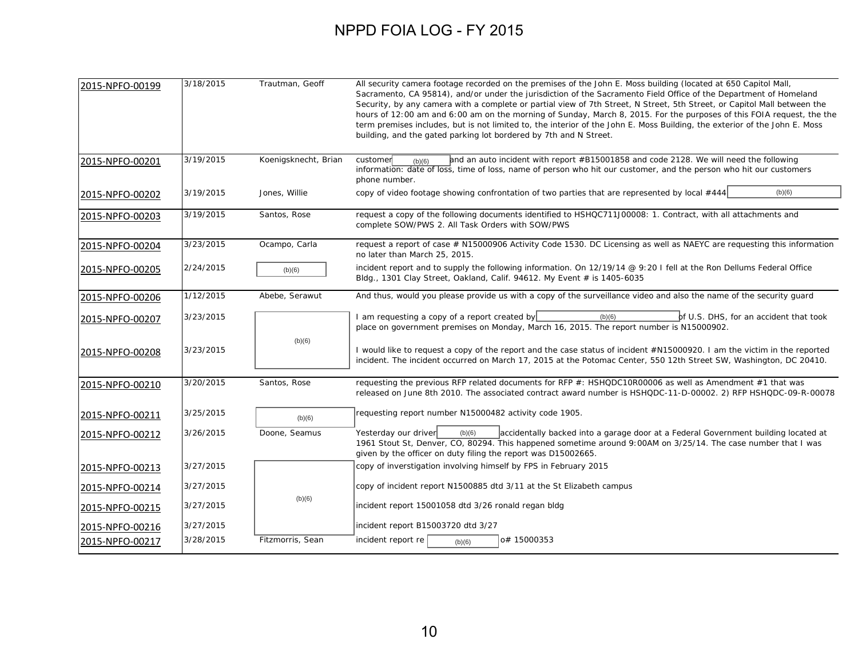| 2015-NPFO-00199 | 3/18/2015 | Trautman, Geoff      | All security camera footage recorded on the premises of the John E. Moss building (located at 650 Capitol Mall,<br>Sacramento, CA 95814), and/or under the jurisdiction of the Sacramento Field Office of the Department of Homeland<br>Security, by any camera with a complete or partial view of 7th Street, N Street, 5th Street, or Capitol Mall between the<br>hours of 12:00 am and 6:00 am on the morning of Sunday, March 8, 2015. For the purposes of this FOIA request, the the<br>term premises includes, but is not limited to, the interior of the John E. Moss Building, the exterior of the John E. Moss<br>building, and the gated parking lot bordered by 7th and N Street. |
|-----------------|-----------|----------------------|----------------------------------------------------------------------------------------------------------------------------------------------------------------------------------------------------------------------------------------------------------------------------------------------------------------------------------------------------------------------------------------------------------------------------------------------------------------------------------------------------------------------------------------------------------------------------------------------------------------------------------------------------------------------------------------------|
| 2015-NPFO-00201 | 3/19/2015 | Koenigsknecht, Brian | and an auto incident with report #B15001858 and code 2128. We will need the following<br>customer<br>(b)(6)<br>information: date of loss, time of loss, name of person who hit our customer, and the person who hit our customers<br>phone number.                                                                                                                                                                                                                                                                                                                                                                                                                                           |
| 2015-NPFO-00202 | 3/19/2015 | Jones, Willie        | copy of video footage showing confrontation of two parties that are represented by local #444<br>(b)(6)                                                                                                                                                                                                                                                                                                                                                                                                                                                                                                                                                                                      |
| 2015-NPFO-00203 | 3/19/2015 | Santos, Rose         | request a copy of the following documents identified to HSHQC711J00008: 1. Contract, with all attachments and<br>complete SOW/PWS 2. All Task Orders with SOW/PWS                                                                                                                                                                                                                                                                                                                                                                                                                                                                                                                            |
| 2015-NPFO-00204 | 3/23/2015 | Ocampo, Carla        | request a report of case # N15000906 Activity Code 1530. DC Licensing as well as NAEYC are requesting this information<br>no later than March 25, 2015.                                                                                                                                                                                                                                                                                                                                                                                                                                                                                                                                      |
| 2015-NPFO-00205 | 2/24/2015 | (b)(6)               | incident report and to supply the following information. On 12/19/14 @ 9:20 I fell at the Ron Dellums Federal Office<br>Bldg., 1301 Clay Street, Oakland, Calif. 94612. My Event # is 1405-6035                                                                                                                                                                                                                                                                                                                                                                                                                                                                                              |
| 2015-NPFO-00206 | 1/12/2015 | Abebe, Serawut       | And thus, would you please provide us with a copy of the surveillance video and also the name of the security guard                                                                                                                                                                                                                                                                                                                                                                                                                                                                                                                                                                          |
| 2015-NPFO-00207 | 3/23/2015 |                      | I am requesting a copy of a report created by<br>(b)(6)<br>of U.S. DHS, for an accident that took<br>place on government premises on Monday, March 16, 2015. The report number is N15000902.                                                                                                                                                                                                                                                                                                                                                                                                                                                                                                 |
| 2015-NPFO-00208 | 3/23/2015 | (b)(6)               | I would like to request a copy of the report and the case status of incident #N15000920. I am the victim in the reported<br>incident. The incident occurred on March 17, 2015 at the Potomac Center, 550 12th Street SW, Washington, DC 20410.                                                                                                                                                                                                                                                                                                                                                                                                                                               |
| 2015-NPFO-00210 | 3/20/2015 | Santos, Rose         | requesting the previous RFP related documents for RFP #: HSHQDC10R00006 as well as Amendment #1 that was<br>released on June 8th 2010. The associated contract award number is HSHQDC-11-D-00002. 2) RFP HSHQDC-09-R-00078                                                                                                                                                                                                                                                                                                                                                                                                                                                                   |
| 2015-NPFO-00211 | 3/25/2015 | (b)(6)               | requesting report number N15000482 activity code 1905.                                                                                                                                                                                                                                                                                                                                                                                                                                                                                                                                                                                                                                       |
| 2015-NPFO-00212 | 3/26/2015 | Doone, Seamus        | Yesterday our driver<br>(b)(6)<br>accidentally backed into a garage door at a Federal Government building located at<br>1961 Stout St, Denver, CO, 80294. This happened sometime around 9:00AM on 3/25/14. The case number that I was<br>given by the officer on duty filing the report was D15002665.                                                                                                                                                                                                                                                                                                                                                                                       |
| 2015-NPFO-00213 | 3/27/2015 |                      | copy of inverstigation involving himself by FPS in February 2015                                                                                                                                                                                                                                                                                                                                                                                                                                                                                                                                                                                                                             |
| 2015-NPFO-00214 | 3/27/2015 |                      | copy of incident report N1500885 dtd 3/11 at the St Elizabeth campus                                                                                                                                                                                                                                                                                                                                                                                                                                                                                                                                                                                                                         |
| 2015-NPFO-00215 | 3/27/2015 | (b)(6)               | incident report 15001058 dtd 3/26 ronald regan bldg                                                                                                                                                                                                                                                                                                                                                                                                                                                                                                                                                                                                                                          |
| 2015-NPFO-00216 | 3/27/2015 |                      | incident report B15003720 dtd 3/27                                                                                                                                                                                                                                                                                                                                                                                                                                                                                                                                                                                                                                                           |
| 2015-NPFO-00217 | 3/28/2015 | Fitzmorris, Sean     | incident report re<br>o# 15000353<br>(b)(6)                                                                                                                                                                                                                                                                                                                                                                                                                                                                                                                                                                                                                                                  |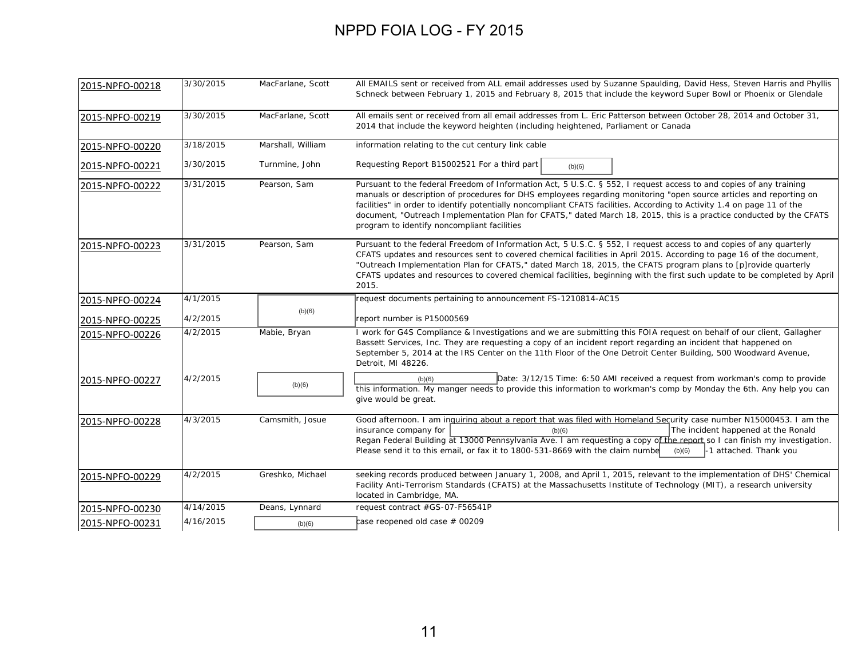| 2015-NPFO-00218 | 3/30/2015 | MacFarlane, Scott | All EMAILS sent or received from ALL email addresses used by Suzanne Spaulding, David Hess, Steven Harris and Phyllis<br>Schneck between February 1, 2015 and February 8, 2015 that include the keyword Super Bowl or Phoenix or Glendale                                                                                                                                                                                                                                                                                                 |
|-----------------|-----------|-------------------|-------------------------------------------------------------------------------------------------------------------------------------------------------------------------------------------------------------------------------------------------------------------------------------------------------------------------------------------------------------------------------------------------------------------------------------------------------------------------------------------------------------------------------------------|
| 2015-NPFO-00219 | 3/30/2015 | MacFarlane, Scott | All emails sent or received from all email addresses from L. Eric Patterson between October 28, 2014 and October 31,<br>2014 that include the keyword heighten (including heightened, Parliament or Canada                                                                                                                                                                                                                                                                                                                                |
| 2015-NPFO-00220 | 3/18/2015 | Marshall, William | information relating to the cut century link cable                                                                                                                                                                                                                                                                                                                                                                                                                                                                                        |
| 2015-NPFO-00221 | 3/30/2015 | Turnmine, John    | Requesting Report B15002521 For a third part<br>(b)(6)                                                                                                                                                                                                                                                                                                                                                                                                                                                                                    |
| 2015-NPFO-00222 | 3/31/2015 | Pearson, Sam      | Pursuant to the federal Freedom of Information Act, 5 U.S.C. § 552, I request access to and copies of any training<br>manuals or description of procedures for DHS employees regarding monitoring "open source articles and reporting on<br>facilities" in order to identify potentially noncompliant CFATS facilities. According to Activity 1.4 on page 11 of the<br>document, "Outreach Implementation Plan for CFATS," dated March 18, 2015, this is a practice conducted by the CFATS<br>program to identify noncompliant facilities |
| 2015-NPFO-00223 | 3/31/2015 | Pearson, Sam      | Pursuant to the federal Freedom of Information Act, 5 U.S.C. § 552, I request access to and copies of any quarterly<br>CFATS updates and resources sent to covered chemical facilities in April 2015. According to page 16 of the document,<br>"Outreach Implementation Plan for CFATS," dated March 18, 2015, the CFATS program plans to [p]rovide quarterly<br>CFATS updates and resources to covered chemical facilities, beginning with the first such update to be completed by April<br>2015.                                       |
| 2015-NPFO-00224 | 4/1/2015  |                   | request documents pertaining to announcement FS-1210814-AC15                                                                                                                                                                                                                                                                                                                                                                                                                                                                              |
| 2015-NPFO-00225 | 4/2/2015  | (b)(6)            | report number is P15000569                                                                                                                                                                                                                                                                                                                                                                                                                                                                                                                |
| 2015-NPFO-00226 | 4/2/2015  | Mabie, Bryan      | I work for G4S Compliance & Investigations and we are submitting this FOIA request on behalf of our client, Gallagher<br>Bassett Services, Inc. They are requesting a copy of an incident report regarding an incident that happened on<br>September 5, 2014 at the IRS Center on the 11th Floor of the One Detroit Center Building, 500 Woodward Avenue,<br>Detroit, MI 48226.                                                                                                                                                           |
| 2015-NPFO-00227 | 4/2/2015  | (b)(6)            | Date: 3/12/15 Time: 6:50 AMI received a request from workman's comp to provide<br>(b)(6)<br>this information. My manger needs to provide this information to workman's comp by Monday the 6th. Any help you can<br>give would be great.                                                                                                                                                                                                                                                                                                   |
| 2015-NPFO-00228 | 4/3/2015  | Camsmith, Josue   | Good afternoon. I am inguiring about a report that was filed with Homeland Security case number N15000453. I am the<br>The incident happened at the Ronald<br>insurance company for<br>(b)(6)<br>Regan Federal Building at 13000 Pennsylvania Ave. I am requesting a copy of the report so I can finish my investigation.<br>Please send it to this email, or fax it to 1800-531-8669 with the claim numbe<br>-1 attached. Thank you<br>(b)(6)                                                                                            |
| 2015-NPFO-00229 | 4/2/2015  | Greshko, Michael  | seeking records produced between January 1, 2008, and April 1, 2015, relevant to the implementation of DHS' Chemical<br>Facility Anti-Terrorism Standards (CFATS) at the Massachusetts Institute of Technology (MIT), a research university<br>located in Cambridge, MA.                                                                                                                                                                                                                                                                  |
| 2015-NPFO-00230 | 4/14/2015 | Deans, Lynnard    | request contract #GS-07-F56541P                                                                                                                                                                                                                                                                                                                                                                                                                                                                                                           |
| 2015-NPFO-00231 | 4/16/2015 | (b)(6)            | $\mathop{\mathsf{case}}$ reopened old case $\#$ 00209                                                                                                                                                                                                                                                                                                                                                                                                                                                                                     |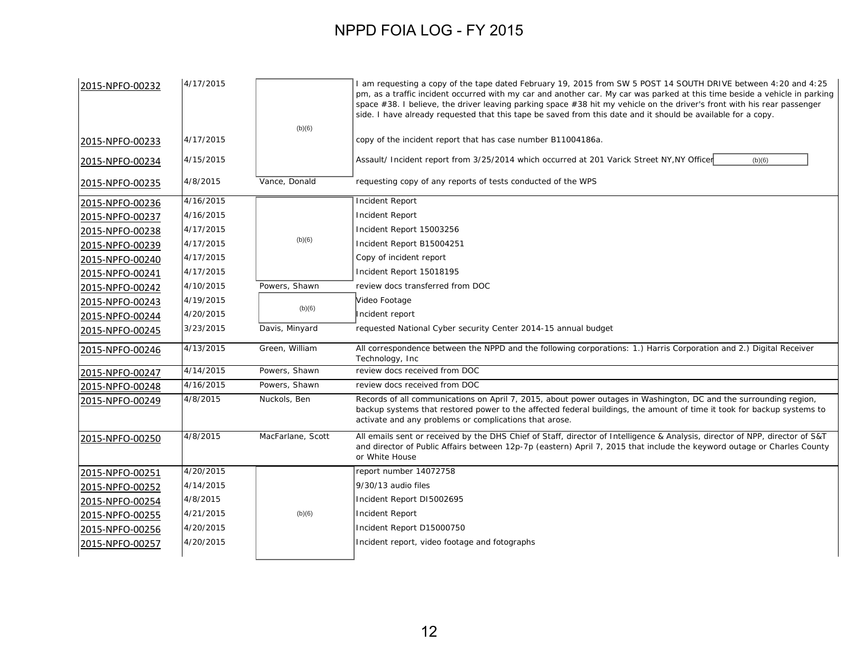| 2015-NPFO-00232 | 4/17/2015 |                   | 1 am requesting a copy of the tape dated February 19, 2015 from SW 5 POST 14 SOUTH DRIVE between 4:20 and 4:25<br>pm, as a traffic incident occurred with my car and another car. My car was parked at this time beside a vehicle in parking<br>space #38. I believe, the driver leaving parking space #38 hit my vehicle on the driver's front with his rear passenger<br>side. I have already requested that this tape be saved from this date and it should be available for a copy. |
|-----------------|-----------|-------------------|-----------------------------------------------------------------------------------------------------------------------------------------------------------------------------------------------------------------------------------------------------------------------------------------------------------------------------------------------------------------------------------------------------------------------------------------------------------------------------------------|
| 2015-NPFO-00233 | 4/17/2015 | (b)(6)            | copy of the incident report that has case number B11004186a.                                                                                                                                                                                                                                                                                                                                                                                                                            |
| 2015-NPFO-00234 | 4/15/2015 |                   | Assault/ Incident report from 3/25/2014 which occurred at 201 Varick Street NY, NY Officer<br>(b)(6)                                                                                                                                                                                                                                                                                                                                                                                    |
| 2015-NPFO-00235 | 4/8/2015  | Vance, Donald     | requesting copy of any reports of tests conducted of the WPS                                                                                                                                                                                                                                                                                                                                                                                                                            |
| 2015-NPFO-00236 | 4/16/2015 |                   | <b>Incident Report</b>                                                                                                                                                                                                                                                                                                                                                                                                                                                                  |
| 2015-NPFO-00237 | 4/16/2015 |                   | <b>Incident Report</b>                                                                                                                                                                                                                                                                                                                                                                                                                                                                  |
| 2015-NPFO-00238 | 4/17/2015 |                   | Incident Report 15003256                                                                                                                                                                                                                                                                                                                                                                                                                                                                |
| 2015-NPFO-00239 | 4/17/2015 | (b)(6)            | Incident Report B15004251                                                                                                                                                                                                                                                                                                                                                                                                                                                               |
| 2015-NPFO-00240 | 4/17/2015 |                   | Copy of incident report                                                                                                                                                                                                                                                                                                                                                                                                                                                                 |
| 2015-NPFO-00241 | 4/17/2015 |                   | Incident Report 15018195                                                                                                                                                                                                                                                                                                                                                                                                                                                                |
| 2015-NPFO-00242 | 4/10/2015 | Powers, Shawn     | review docs transferred from DOC                                                                                                                                                                                                                                                                                                                                                                                                                                                        |
| 2015-NPFO-00243 | 4/19/2015 |                   | Video Footage                                                                                                                                                                                                                                                                                                                                                                                                                                                                           |
| 2015-NPFO-00244 | 4/20/2015 | (b)(6)            | Incident report                                                                                                                                                                                                                                                                                                                                                                                                                                                                         |
| 2015-NPFO-00245 | 3/23/2015 | Davis, Minyard    | requested National Cyber security Center 2014-15 annual budget                                                                                                                                                                                                                                                                                                                                                                                                                          |
| 2015-NPFO-00246 | 4/13/2015 | Green, William    | All correspondence between the NPPD and the following corporations: 1.) Harris Corporation and 2.) Digital Receiver<br>Technology, Inc                                                                                                                                                                                                                                                                                                                                                  |
| 2015-NPFO-00247 | 4/14/2015 | Powers, Shawn     | review docs received from DOC                                                                                                                                                                                                                                                                                                                                                                                                                                                           |
| 2015-NPFO-00248 | 4/16/2015 | Powers, Shawn     | review docs received from DOC                                                                                                                                                                                                                                                                                                                                                                                                                                                           |
| 2015-NPFO-00249 | 4/8/2015  | Nuckols, Ben      | Records of all communications on April 7, 2015, about power outages in Washington, DC and the surrounding region,<br>backup systems that restored power to the affected federal buildings, the amount of time it took for backup systems to<br>activate and any problems or complications that arose.                                                                                                                                                                                   |
| 2015-NPFO-00250 | 4/8/2015  | MacFarlane, Scott | All emails sent or received by the DHS Chief of Staff, director of Intelligence & Analysis, director of NPP, director of S&T<br>and director of Public Affairs between 12p-7p (eastern) April 7, 2015 that include the keyword outage or Charles County<br>or White House                                                                                                                                                                                                               |
| 2015-NPFO-00251 | 4/20/2015 |                   | report number 14072758                                                                                                                                                                                                                                                                                                                                                                                                                                                                  |
| 2015-NPFO-00252 | 4/14/2015 |                   | 9/30/13 audio files                                                                                                                                                                                                                                                                                                                                                                                                                                                                     |
| 2015-NPFO-00254 | 4/8/2015  |                   | Incident Report DI5002695                                                                                                                                                                                                                                                                                                                                                                                                                                                               |
| 2015-NPFO-00255 | 4/21/2015 | (b)(6)            | <b>Incident Report</b>                                                                                                                                                                                                                                                                                                                                                                                                                                                                  |
| 2015-NPFO-00256 | 4/20/2015 |                   | Incident Report D15000750                                                                                                                                                                                                                                                                                                                                                                                                                                                               |
| 2015-NPFO-00257 | 4/20/2015 |                   | Incident report, video footage and fotographs                                                                                                                                                                                                                                                                                                                                                                                                                                           |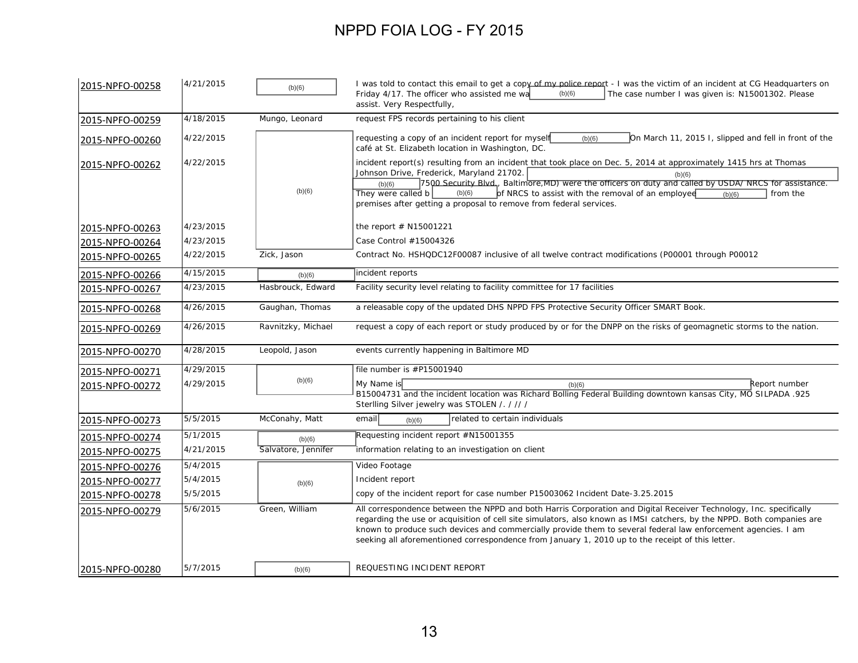| 2015-NPFO-00258 | 4/21/2015 | (b)(6)              | I was told to contact this email to get a copy of my police report - I was the victim of an incident at CG Headquarters on<br>Friday 4/17. The officer who assisted me wa<br>(b)(6)<br>The case number I was given is: N15001302. Please<br>assist. Very Respectfully,                                                                                                                                                                                                        |
|-----------------|-----------|---------------------|-------------------------------------------------------------------------------------------------------------------------------------------------------------------------------------------------------------------------------------------------------------------------------------------------------------------------------------------------------------------------------------------------------------------------------------------------------------------------------|
| 2015-NPFO-00259 | 4/18/2015 | Mungo, Leonard      | request FPS records pertaining to his client                                                                                                                                                                                                                                                                                                                                                                                                                                  |
| 2015-NPFO-00260 | 4/22/2015 |                     | On March 11, 2015 I, slipped and fell in front of the<br>requesting a copy of an incident report for myself<br>(b)(6)<br>café at St. Elizabeth location in Washington, DC.                                                                                                                                                                                                                                                                                                    |
| 2015-NPFO-00262 | 4/22/2015 | (b)(6)              | incident report(s) resulting from an incident that took place on Dec. 5, 2014 at approximately 1415 hrs at Thomas<br>Johnson Drive, Frederick, Maryland 21702.<br>(b)(6)<br>7500 Security Blvd., Baltimore, MD) were the officers on duty and called by USDA/ NRCS for assistance.<br>(b)(6)<br>(b)(6)<br>of NRCS to assist with the removal of an employee<br>They were called b<br>from the<br>(b)(6)<br>premises after getting a proposal to remove from federal services. |
| 2015-NPFO-00263 | 4/23/2015 |                     | the report $#$ N15001221                                                                                                                                                                                                                                                                                                                                                                                                                                                      |
| 2015-NPFO-00264 | 4/23/2015 |                     | Case Control #15004326                                                                                                                                                                                                                                                                                                                                                                                                                                                        |
| 2015-NPFO-00265 | 4/22/2015 | Zick, Jason         | Contract No. HSHQDC12F00087 inclusive of all twelve contract modifications (P00001 through P00012                                                                                                                                                                                                                                                                                                                                                                             |
| 2015-NPFO-00266 | 4/15/2015 | (b)(6)              | incident reports                                                                                                                                                                                                                                                                                                                                                                                                                                                              |
| 2015-NPFO-00267 | 4/23/2015 | Hasbrouck, Edward   | Facility security level relating to facility committee for 17 facilities                                                                                                                                                                                                                                                                                                                                                                                                      |
| 2015-NPFO-00268 | 4/26/2015 | Gaughan, Thomas     | a releasable copy of the updated DHS NPPD FPS Protective Security Officer SMART Book.                                                                                                                                                                                                                                                                                                                                                                                         |
| 2015-NPFO-00269 | 4/26/2015 | Ravnitzky, Michael  | request a copy of each report or study produced by or for the DNPP on the risks of geomagnetic storms to the nation.                                                                                                                                                                                                                                                                                                                                                          |
| 2015-NPFO-00270 | 4/28/2015 | Leopold, Jason      | events currently happening in Baltimore MD                                                                                                                                                                                                                                                                                                                                                                                                                                    |
| 2015-NPFO-00271 | 4/29/2015 |                     | file number is #P15001940                                                                                                                                                                                                                                                                                                                                                                                                                                                     |
| 2015-NPFO-00272 | 4/29/2015 | (b)(6)              | My Name is<br>Report number<br>(b)(6)<br>B15004731 and the incident location was Richard Bolling Federal Building downtown kansas City, MO SILPADA .925<br>Sterlling Silver jewelry was STOLEN / . / // /                                                                                                                                                                                                                                                                     |
| 2015-NPFO-00273 | 5/5/2015  | McConahy, Matt      | related to certain individuals<br>email<br>(b)(6)                                                                                                                                                                                                                                                                                                                                                                                                                             |
| 2015-NPFO-00274 | 5/1/2015  | (b)(6)              | Requesting incident report #N15001355                                                                                                                                                                                                                                                                                                                                                                                                                                         |
| 2015-NPFO-00275 | 4/21/2015 | Salvatore, Jennifer | information relating to an investigation on client                                                                                                                                                                                                                                                                                                                                                                                                                            |
| 2015-NPFO-00276 | 5/4/2015  |                     | Video Footage                                                                                                                                                                                                                                                                                                                                                                                                                                                                 |
| 2015-NPFO-00277 | 5/4/2015  | (b)(6)              | Incident report                                                                                                                                                                                                                                                                                                                                                                                                                                                               |
| 2015-NPFO-00278 | 5/5/2015  |                     | copy of the incident report for case number P15003062 Incident Date-3.25.2015                                                                                                                                                                                                                                                                                                                                                                                                 |
| 2015-NPFO-00279 | 5/6/2015  | Green, William      | All correspondence between the NPPD and both Harris Corporation and Digital Receiver Technology, Inc. specifically<br>regarding the use or acquisition of cell site simulators, also known as IMSI catchers, by the NPPD. Both companies are<br>known to produce such devices and commercially provide them to several federal law enforcement agencies. I am<br>seeking all aforementioned correspondence from January 1, 2010 up to the receipt of this letter.             |
| 2015-NPFO-00280 | 5/7/2015  | (b)(6)              | REQUESTING INCIDENT REPORT                                                                                                                                                                                                                                                                                                                                                                                                                                                    |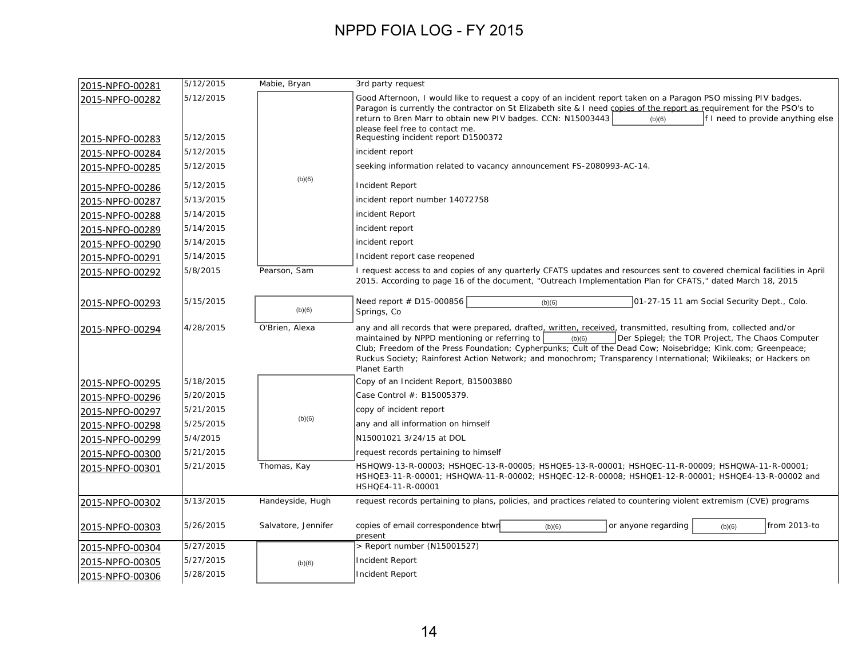| 2015-NPFO-00281 | 5/12/2015 | Mabie, Bryan        | 3rd party request                                                                                                                                                                                                                                                                                                                                                                                                                                                                  |
|-----------------|-----------|---------------------|------------------------------------------------------------------------------------------------------------------------------------------------------------------------------------------------------------------------------------------------------------------------------------------------------------------------------------------------------------------------------------------------------------------------------------------------------------------------------------|
| 2015-NPFO-00282 | 5/12/2015 |                     | Good Afternoon, I would like to request a copy of an incident report taken on a Paragon PSO missing PIV badges.<br>Paragon is currently the contractor on St Elizabeth site & I need copies of the report as requirement for the PSO's to<br>return to Bren Marr to obtain new PIV badges. CCN: N15003443<br>f I need to provide anything else<br>(b)(6)<br>please feel free to contact me.                                                                                        |
| 2015-NPFO-00283 | 5/12/2015 |                     | Requesting incident report D1500372                                                                                                                                                                                                                                                                                                                                                                                                                                                |
| 2015-NPFO-00284 | 5/12/2015 |                     | incident report                                                                                                                                                                                                                                                                                                                                                                                                                                                                    |
| 2015-NPFO-00285 | 5/12/2015 |                     | seeking information related to vacancy announcement FS-2080993-AC-14.                                                                                                                                                                                                                                                                                                                                                                                                              |
| 2015-NPFO-00286 | 5/12/2015 | (b)(6)              | Incident Report                                                                                                                                                                                                                                                                                                                                                                                                                                                                    |
| 2015-NPFO-00287 | 5/13/2015 |                     | incident report number 14072758                                                                                                                                                                                                                                                                                                                                                                                                                                                    |
| 2015-NPFO-00288 | 5/14/2015 |                     | incident Report                                                                                                                                                                                                                                                                                                                                                                                                                                                                    |
| 2015-NPFO-00289 | 5/14/2015 |                     | incident report                                                                                                                                                                                                                                                                                                                                                                                                                                                                    |
| 2015-NPFO-00290 | 5/14/2015 |                     | incident report                                                                                                                                                                                                                                                                                                                                                                                                                                                                    |
| 2015-NPFO-00291 | 5/14/2015 |                     | Incident report case reopened                                                                                                                                                                                                                                                                                                                                                                                                                                                      |
| 2015-NPFO-00292 | 5/8/2015  | Pearson, Sam        | I request access to and copies of any quarterly CFATS updates and resources sent to covered chemical facilities in April<br>2015. According to page 16 of the document, "Outreach Implementation Plan for CFATS," dated March 18, 2015                                                                                                                                                                                                                                             |
| 2015-NPFO-00293 | 5/15/2015 | (b)(6)              | Need report # D15-000856<br>01-27-15 11 am Social Security Dept., Colo.<br>(b)(6)<br>Springs, Co.                                                                                                                                                                                                                                                                                                                                                                                  |
| 2015-NPFO-00294 | 4/28/2015 | O'Brien, Alexa      | any and all records that were prepared, drafted, written, received, transmitted, resulting from, collected and/or<br>maintained by NPPD mentioning or referring to<br>Der Spiegel; the TOR Project, The Chaos Computer<br>(b)(6)<br>Club; Freedom of the Press Foundation; Cypherpunks; Cult of the Dead Cow; Noisebridge; Kink.com; Greenpeace;<br>Ruckus Society; Rainforest Action Network; and monochrom; Transparency International; Wikileaks; or Hackers on<br>Planet Earth |
| 2015-NPFO-00295 | 5/18/2015 |                     | Copy of an Incident Report, B15003880                                                                                                                                                                                                                                                                                                                                                                                                                                              |
| 2015-NPFO-00296 | 5/20/2015 |                     | Case Control #: B15005379.                                                                                                                                                                                                                                                                                                                                                                                                                                                         |
| 2015-NPFO-00297 | 5/21/2015 |                     | copy of incident report                                                                                                                                                                                                                                                                                                                                                                                                                                                            |
| 2015-NPFO-00298 | 5/25/2015 | (b)(6)              | any and all information on himself                                                                                                                                                                                                                                                                                                                                                                                                                                                 |
| 2015-NPFO-00299 | 5/4/2015  |                     | N15001021 3/24/15 at DOL                                                                                                                                                                                                                                                                                                                                                                                                                                                           |
| 2015-NPFO-00300 | 5/21/2015 |                     | request records pertaining to himself                                                                                                                                                                                                                                                                                                                                                                                                                                              |
| 2015-NPFO-00301 | 5/21/2015 | Thomas, Kay         | HSHQW9-13-R-00003; HSHQEC-13-R-00005; HSHQE5-13-R-00001; HSHQEC-11-R-00009; HSHQWA-11-R-00001;<br>HSHQE3-11-R-00001; HSHQWA-11-R-00002; HSHQEC-12-R-00008; HSHQE1-12-R-00001; HSHQE4-13-R-00002 and<br>HSHQE4-11-R-00001                                                                                                                                                                                                                                                           |
| 2015-NPFO-00302 | 5/13/2015 | Handeyside, Hugh    | request records pertaining to plans, policies, and practices related to countering violent extremism (CVE) programs                                                                                                                                                                                                                                                                                                                                                                |
| 2015-NPFO-00303 | 5/26/2015 | Salvatore, Jennifer | copies of email correspondence btwn<br>or anyone regarding<br>from 2013-to<br>(b)(6)<br>(b)(6)<br>present                                                                                                                                                                                                                                                                                                                                                                          |
| 2015-NPFO-00304 | 5/27/2015 |                     | > Report number (N15001527)                                                                                                                                                                                                                                                                                                                                                                                                                                                        |
| 2015-NPFO-00305 | 5/27/2015 | (b)(6)              | <b>Incident Report</b>                                                                                                                                                                                                                                                                                                                                                                                                                                                             |
| 2015-NPFO-00306 | 5/28/2015 |                     | Incident Report                                                                                                                                                                                                                                                                                                                                                                                                                                                                    |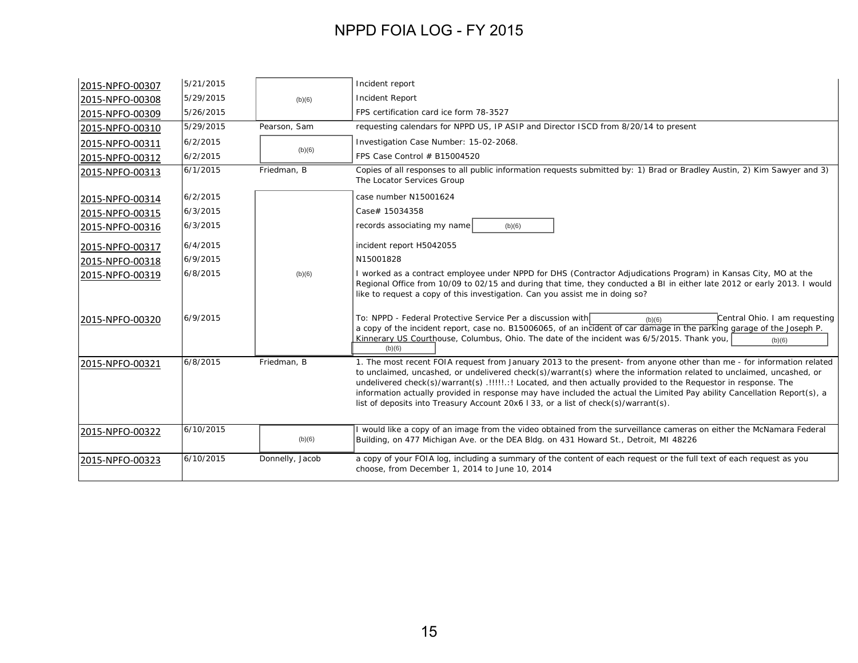| 2015-NPFO-00307 | 5/21/2015 |                 | Incident report                                                                                                                                                                                                                                                                                                                                                                                                                                                                                                                                                                    |
|-----------------|-----------|-----------------|------------------------------------------------------------------------------------------------------------------------------------------------------------------------------------------------------------------------------------------------------------------------------------------------------------------------------------------------------------------------------------------------------------------------------------------------------------------------------------------------------------------------------------------------------------------------------------|
| 2015-NPFO-00308 | 5/29/2015 | (b)(6)          | <b>Incident Report</b>                                                                                                                                                                                                                                                                                                                                                                                                                                                                                                                                                             |
| 2015-NPFO-00309 | 5/26/2015 |                 | FPS certification card ice form 78-3527                                                                                                                                                                                                                                                                                                                                                                                                                                                                                                                                            |
| 2015-NPFO-00310 | 5/29/2015 | Pearson, Sam    | requesting calendars for NPPD US, IP ASIP and Director ISCD from 8/20/14 to present                                                                                                                                                                                                                                                                                                                                                                                                                                                                                                |
| 2015-NPFO-00311 | 6/2/2015  |                 | Investigation Case Number: 15-02-2068.                                                                                                                                                                                                                                                                                                                                                                                                                                                                                                                                             |
| 2015-NPFO-00312 | 6/2/2015  | (b)(6)          | FPS Case Control # B15004520                                                                                                                                                                                                                                                                                                                                                                                                                                                                                                                                                       |
| 2015-NPFO-00313 | 6/1/2015  | Friedman, B     | Copies of all responses to all public information requests submitted by: 1) Brad or Bradley Austin, 2) Kim Sawyer and 3)<br>The Locator Services Group                                                                                                                                                                                                                                                                                                                                                                                                                             |
| 2015-NPFO-00314 | 6/2/2015  |                 | case number N15001624                                                                                                                                                                                                                                                                                                                                                                                                                                                                                                                                                              |
| 2015-NPFO-00315 | 6/3/2015  |                 | Case# 15034358                                                                                                                                                                                                                                                                                                                                                                                                                                                                                                                                                                     |
| 2015-NPFO-00316 | 6/3/2015  |                 | records associating my name<br>(b)(6)                                                                                                                                                                                                                                                                                                                                                                                                                                                                                                                                              |
| 2015-NPFO-00317 | 6/4/2015  |                 | incident report H5042055                                                                                                                                                                                                                                                                                                                                                                                                                                                                                                                                                           |
| 2015-NPFO-00318 | 6/9/2015  |                 | N15001828                                                                                                                                                                                                                                                                                                                                                                                                                                                                                                                                                                          |
| 2015-NPFO-00319 | 6/8/2015  | (b)(6)          | I worked as a contract employee under NPPD for DHS (Contractor Adjudications Program) in Kansas City, MO at the<br>Regional Office from 10/09 to 02/15 and during that time, they conducted a BI in either late 2012 or early 2013. I would<br>like to request a copy of this investigation. Can you assist me in doing so?                                                                                                                                                                                                                                                        |
| 2015-NPFO-00320 | 6/9/2015  |                 | To: NPPD - Federal Protective Service Per a discussion with<br>Central Ohio. I am requesting<br>(b)(6)<br>a copy of the incident report, case no. B15006065, of an incident of car damage in the parking garage of the Joseph P.<br>Kinnerary US Courthouse, Columbus, Ohio. The date of the incident was 6/5/2015. Thank you,<br>(b)(6)<br>(b)(6)                                                                                                                                                                                                                                 |
| 2015-NPFO-00321 | 6/8/2015  | Friedman, B     | 1. The most recent FOIA request from January 2013 to the present- from anyone other than me - for information related<br>to unclaimed, uncashed, or undelivered check(s)/warrant(s) where the information related to unclaimed, uncashed, or<br>undelivered check(s)/warrant(s) .!!!!!.:! Located, and then actually provided to the Requestor in response. The<br>information actually provided in response may have included the actual the Limited Pay ability Cancellation Report(s), a<br>list of deposits into Treasury Account 20x6   33, or a list of check(s)/warrant(s). |
| 2015-NPFO-00322 | 6/10/2015 | (b)(6)          | I would like a copy of an image from the video obtained from the surveillance cameras on either the McNamara Federal<br>Building, on 477 Michigan Ave. or the DEA Bldg. on 431 Howard St., Detroit, MI 48226                                                                                                                                                                                                                                                                                                                                                                       |
| 2015-NPFO-00323 | 6/10/2015 | Donnelly, Jacob | a copy of your FOIA log, including a summary of the content of each request or the full text of each request as you<br>choose, from December 1, 2014 to June 10, 2014                                                                                                                                                                                                                                                                                                                                                                                                              |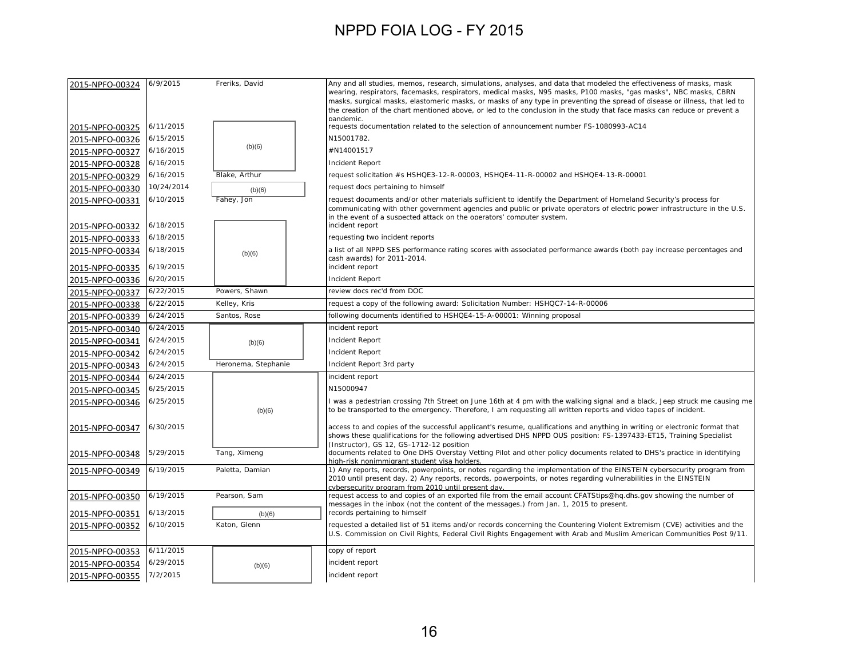| 2015-NPFO-00324                    | 6/9/2015   | Freriks, David      | Any and all studies, memos, research, simulations, analyses, and data that modeled the effectiveness of masks, mask<br>wearing, respirators, facemasks, respirators, medical masks, N95 masks, P100 masks, "gas masks", NBC masks, CBRN<br>masks, surgical masks, elastomeric masks, or masks of any type in preventing the spread of disease or illness, that led to<br>the creation of the chart mentioned above, or led to the conclusion in the study that face masks can reduce or prevent a<br>nandemic |
|------------------------------------|------------|---------------------|---------------------------------------------------------------------------------------------------------------------------------------------------------------------------------------------------------------------------------------------------------------------------------------------------------------------------------------------------------------------------------------------------------------------------------------------------------------------------------------------------------------|
| 2015-NPFO-00325                    | 6/11/2015  |                     | requests documentation related to the selection of announcement number FS-1080993-AC14                                                                                                                                                                                                                                                                                                                                                                                                                        |
| 2015-NPFO-00326                    | 6/15/2015  |                     | N15001782.                                                                                                                                                                                                                                                                                                                                                                                                                                                                                                    |
| 2015-NPFO-00327                    | 6/16/2015  | (b)(6)              | #N14001517                                                                                                                                                                                                                                                                                                                                                                                                                                                                                                    |
| 2015-NPFO-00328                    | 6/16/2015  |                     | <b>Incident Report</b>                                                                                                                                                                                                                                                                                                                                                                                                                                                                                        |
| 2015-NPFO-00329                    | 6/16/2015  | Blake, Arthur       | request solicitation #s HSHQE3-12-R-00003, HSHQE4-11-R-00002 and HSHQE4-13-R-00001                                                                                                                                                                                                                                                                                                                                                                                                                            |
| 2015-NPFO-00330                    | 10/24/2014 | (b)(6)              | request docs pertaining to himself                                                                                                                                                                                                                                                                                                                                                                                                                                                                            |
| 2015-NPFO-00331                    | 6/10/2015  | Fahey, Jon          | request documents and/or other materials sufficient to identify the Department of Homeland Security's process for                                                                                                                                                                                                                                                                                                                                                                                             |
| 2015-NPFO-00332                    | 6/18/2015  |                     | communicating with other government agencies and public or private operators of electric power infrastructure in the U.S.<br>in the event of a suspected attack on the operators' computer system.<br>incident report                                                                                                                                                                                                                                                                                         |
|                                    | 6/18/2015  |                     | requesting two incident reports                                                                                                                                                                                                                                                                                                                                                                                                                                                                               |
| 2015-NPFO-00333<br>2015-NPFO-00334 | 6/18/2015  |                     | a list of all NPPD SES performance rating scores with associated performance awards (both pay increase percentages and                                                                                                                                                                                                                                                                                                                                                                                        |
|                                    |            | (b)(6)              | cash awards) for 2011-2014.                                                                                                                                                                                                                                                                                                                                                                                                                                                                                   |
| 2015-NPFO-00335                    | 6/19/2015  |                     | incident report                                                                                                                                                                                                                                                                                                                                                                                                                                                                                               |
| 2015-NPFO-00336                    | 6/20/2015  |                     | Incident Report                                                                                                                                                                                                                                                                                                                                                                                                                                                                                               |
| 2015-NPFO-00337                    | 6/22/2015  | Powers, Shawn       | review docs rec'd from DOC                                                                                                                                                                                                                                                                                                                                                                                                                                                                                    |
| 2015-NPFO-00338                    | 6/22/2015  | Kelley, Kris        | request a copy of the following award: Solicitation Number: HSHQC7-14-R-00006                                                                                                                                                                                                                                                                                                                                                                                                                                 |
| 2015-NPFO-00339                    | 6/24/2015  | Santos, Rose        | following documents identified to HSHQE4-15-A-00001: Winning proposal                                                                                                                                                                                                                                                                                                                                                                                                                                         |
| 2015-NPFO-00340                    | 6/24/2015  |                     | incident report                                                                                                                                                                                                                                                                                                                                                                                                                                                                                               |
| 2015-NPFO-00341                    | 6/24/2015  | (b)(6)              | <b>Incident Report</b>                                                                                                                                                                                                                                                                                                                                                                                                                                                                                        |
| 2015-NPFO-00342                    | 6/24/2015  |                     | <b>Incident Report</b>                                                                                                                                                                                                                                                                                                                                                                                                                                                                                        |
| 2015-NPFO-00343                    | 6/24/2015  | Heronema, Stephanie | Incident Report 3rd party                                                                                                                                                                                                                                                                                                                                                                                                                                                                                     |
| 2015-NPFO-00344                    | 6/24/2015  |                     | incident report                                                                                                                                                                                                                                                                                                                                                                                                                                                                                               |
| 2015-NPFO-00345                    | 6/25/2015  |                     | N15000947                                                                                                                                                                                                                                                                                                                                                                                                                                                                                                     |
| 2015-NPFO-00346                    | 6/25/2015  | (b)(6)              | I was a pedestrian crossing 7th Street on June 16th at 4 pm with the walking signal and a black, Jeep struck me causing me<br>to be transported to the emergency. Therefore, I am requesting all written reports and video tapes of incident.                                                                                                                                                                                                                                                                 |
| 2015-NPFO-00347                    | 6/30/2015  |                     | access to and copies of the successful applicant's resume, qualifications and anything in writing or electronic format that<br>shows these qualifications for the following advertised DHS NPPD OUS position: FS-1397433-ET15, Training Specialist                                                                                                                                                                                                                                                            |
| 2015-NPFO-00348                    | 5/29/2015  | Tang, Ximeng        | (Instructor), GS 12, GS-1712-12 position<br>documents related to One DHS Overstay Vetting Pilot and other policy documents related to DHS's practice in identifying                                                                                                                                                                                                                                                                                                                                           |
| 2015-NPFO-00349                    | 6/19/2015  | Paletta, Damian     | high-risk nonimmigrant student visa holders.<br>1) Any reports, records, powerpoints, or notes regarding the implementation of the EINSTEIN cybersecurity program from                                                                                                                                                                                                                                                                                                                                        |
|                                    |            |                     | 2010 until present day. 2) Any reports, records, powerpoints, or notes regarding vulnerabilities in the EINSTEIN                                                                                                                                                                                                                                                                                                                                                                                              |
| 2015-NPFO-00350                    | 6/19/2015  | Pearson, Sam        | vbersecurity program from 2010 until present day.<br>request access to and copies of an exported file from the email account CFATStips@hq.dhs.gov showing the number of                                                                                                                                                                                                                                                                                                                                       |
|                                    |            |                     | messages in the inbox (not the content of the messages.) from Jan. 1, 2015 to present.                                                                                                                                                                                                                                                                                                                                                                                                                        |
| 2015-NPFO-00351                    | 6/13/2015  | (b)(6)              | records pertaining to himself                                                                                                                                                                                                                                                                                                                                                                                                                                                                                 |
| 2015-NPFO-00352                    | 6/10/2015  | Katon, Glenn        | requested a detailed list of 51 items and/or records concerning the Countering Violent Extremism (CVE) activities and the<br>U.S. Commission on Civil Rights, Federal Civil Rights Engagement with Arab and Muslim American Communities Post 9/11.                                                                                                                                                                                                                                                            |
| 2015-NPFO-00353                    | 6/11/2015  |                     | copy of report                                                                                                                                                                                                                                                                                                                                                                                                                                                                                                |
| 2015-NPFO-00354                    | 6/29/2015  | (b)(6)              | incident report                                                                                                                                                                                                                                                                                                                                                                                                                                                                                               |
| 2015-NPFO-00355                    | 7/2/2015   |                     | incident report                                                                                                                                                                                                                                                                                                                                                                                                                                                                                               |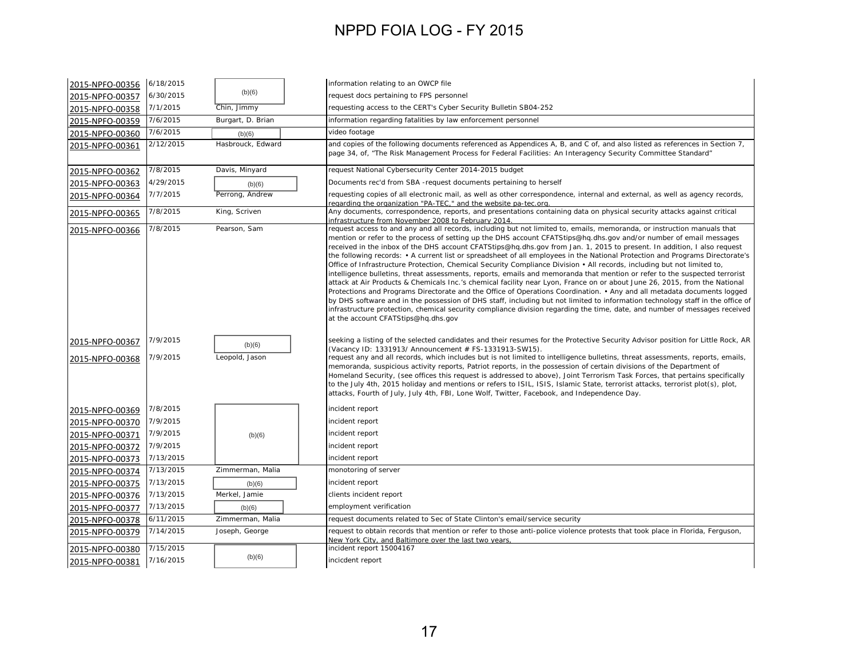| 2015-NPFO-00356                    | 6/18/2015            |                          | information relating to an OWCP file                                                                                                                                                                                                                                                                                                                                                                                                                                                                                                                                                                                                                                                                                                                                                                                                                                                                                                                                                                                                                                                                                                                                                                                                                                                                                               |
|------------------------------------|----------------------|--------------------------|------------------------------------------------------------------------------------------------------------------------------------------------------------------------------------------------------------------------------------------------------------------------------------------------------------------------------------------------------------------------------------------------------------------------------------------------------------------------------------------------------------------------------------------------------------------------------------------------------------------------------------------------------------------------------------------------------------------------------------------------------------------------------------------------------------------------------------------------------------------------------------------------------------------------------------------------------------------------------------------------------------------------------------------------------------------------------------------------------------------------------------------------------------------------------------------------------------------------------------------------------------------------------------------------------------------------------------|
| 2015-NPFO-00357                    | 6/30/2015            | (b)(6)                   | request docs pertaining to FPS personnel                                                                                                                                                                                                                                                                                                                                                                                                                                                                                                                                                                                                                                                                                                                                                                                                                                                                                                                                                                                                                                                                                                                                                                                                                                                                                           |
| 2015-NPFO-00358                    | 7/1/2015             | Chin, Jimmy              | requesting access to the CERT's Cyber Security Bulletin SB04-252                                                                                                                                                                                                                                                                                                                                                                                                                                                                                                                                                                                                                                                                                                                                                                                                                                                                                                                                                                                                                                                                                                                                                                                                                                                                   |
| 2015-NPFO-00359                    | 7/6/2015             | Burgart, D. Brian        | information regarding fatalities by law enforcement personnel                                                                                                                                                                                                                                                                                                                                                                                                                                                                                                                                                                                                                                                                                                                                                                                                                                                                                                                                                                                                                                                                                                                                                                                                                                                                      |
| 2015-NPFO-00360                    | 7/6/2015             | (b)(6)                   | video footage                                                                                                                                                                                                                                                                                                                                                                                                                                                                                                                                                                                                                                                                                                                                                                                                                                                                                                                                                                                                                                                                                                                                                                                                                                                                                                                      |
| 2015-NPFO-00361                    | 2/12/2015            | Hasbrouck, Edward        | and copies of the following documents referenced as Appendices A, B, and C of, and also listed as references in Section 7,<br>page 34, of, "The Risk Management Process for Federal Facilities: An Interagency Security Committee Standard"                                                                                                                                                                                                                                                                                                                                                                                                                                                                                                                                                                                                                                                                                                                                                                                                                                                                                                                                                                                                                                                                                        |
| 2015-NPFO-00362                    | 7/8/2015             | Davis, Minyard           | request National Cybersecurity Center 2014-2015 budget                                                                                                                                                                                                                                                                                                                                                                                                                                                                                                                                                                                                                                                                                                                                                                                                                                                                                                                                                                                                                                                                                                                                                                                                                                                                             |
| 2015-NPFO-00363                    | 4/29/2015            | (b)(6)                   | Documents rec'd from SBA -request documents pertaining to herself                                                                                                                                                                                                                                                                                                                                                                                                                                                                                                                                                                                                                                                                                                                                                                                                                                                                                                                                                                                                                                                                                                                                                                                                                                                                  |
| 2015-NPFO-00364                    | 7/7/2015             | Perrong, Andrew          | requesting copies of all electronic mail, as well as other correspondence, internal and external, as well as agency records,<br>regarding the organization "PA-TEC," and the website pa-tec.org.                                                                                                                                                                                                                                                                                                                                                                                                                                                                                                                                                                                                                                                                                                                                                                                                                                                                                                                                                                                                                                                                                                                                   |
| 2015-NPFO-00365                    | 7/8/2015             | King, Scriven            | Any documents, correspondence, reports, and presentations containing data on physical security attacks against critical<br>infrastructure from November 2008 to February 2014.                                                                                                                                                                                                                                                                                                                                                                                                                                                                                                                                                                                                                                                                                                                                                                                                                                                                                                                                                                                                                                                                                                                                                     |
| 2015-NPFO-00366                    | 7/8/2015             | Pearson, Sam             | request access to and any and all records, including but not limited to, emails, memoranda, or instruction manuals that<br>mention or refer to the process of setting up the DHS account CFATStips@hq.dhs.gov and/or number of email messages<br>received in the inbox of the DHS account CFATStips@hq.dhs.gov from Jan. 1, 2015 to present. In addition, I also request<br>the following records: • A current list or spreadsheet of all employees in the National Protection and Programs Directorate's<br>Office of Infrastructure Protection, Chemical Security Compliance Division • All records, including but not limited to,<br>intelligence bulletins, threat assessments, reports, emails and memoranda that mention or refer to the suspected terrorist<br>attack at Air Products & Chemicals Inc.'s chemical facility near Lyon, France on or about June 26, 2015, from the National<br>Protections and Programs Directorate and the Office of Operations Coordination. • Any and all metadata documents logged<br>by DHS software and in the possession of DHS staff, including but not limited to information technology staff in the office of<br>infrastructure protection, chemical security compliance division regarding the time, date, and number of messages received<br>at the account CFATStips@hq.dhs.gov |
| 2015-NPFO-00367<br>2015-NPFO-00368 | 7/9/2015<br>7/9/2015 | (b)(6)<br>Leopold, Jason | seeking a listing of the selected candidates and their resumes for the Protective Security Advisor position for Little Rock, AR<br>(Vacancy ID: 1331913/ Announcement # FS-1331913-SW15).<br>request any and all records, which includes but is not limited to intelligence bulletins, threat assessments, reports, emails,<br>memoranda, suspicious activity reports, Patriot reports, in the possession of certain divisions of the Department of<br>Homeland Security, (see offices this request is addressed to above), Joint Terrorism Task Forces, that pertains specifically<br>to the July 4th, 2015 holiday and mentions or refers to ISIL, ISIS, Islamic State, terrorist attacks, terrorist plot(s), plot,<br>attacks, Fourth of July, July 4th, FBI, Lone Wolf, Twitter, Facebook, and Independence Day.                                                                                                                                                                                                                                                                                                                                                                                                                                                                                                               |
| 2015-NPFO-00369                    | 7/8/2015             |                          | incident report                                                                                                                                                                                                                                                                                                                                                                                                                                                                                                                                                                                                                                                                                                                                                                                                                                                                                                                                                                                                                                                                                                                                                                                                                                                                                                                    |
| 2015-NPFO-00370                    | 7/9/2015             |                          | incident report                                                                                                                                                                                                                                                                                                                                                                                                                                                                                                                                                                                                                                                                                                                                                                                                                                                                                                                                                                                                                                                                                                                                                                                                                                                                                                                    |
| 2015-NPFO-00371                    | 7/9/2015             | (b)(6)                   | incident report                                                                                                                                                                                                                                                                                                                                                                                                                                                                                                                                                                                                                                                                                                                                                                                                                                                                                                                                                                                                                                                                                                                                                                                                                                                                                                                    |
| 2015-NPFO-00372                    | 7/9/2015             |                          | incident report                                                                                                                                                                                                                                                                                                                                                                                                                                                                                                                                                                                                                                                                                                                                                                                                                                                                                                                                                                                                                                                                                                                                                                                                                                                                                                                    |
| 2015-NPFO-00373                    | 7/13/2015            |                          | incident report                                                                                                                                                                                                                                                                                                                                                                                                                                                                                                                                                                                                                                                                                                                                                                                                                                                                                                                                                                                                                                                                                                                                                                                                                                                                                                                    |
| 2015-NPFO-00374                    | 7/13/2015            | Zimmerman, Malia         | monotoring of server                                                                                                                                                                                                                                                                                                                                                                                                                                                                                                                                                                                                                                                                                                                                                                                                                                                                                                                                                                                                                                                                                                                                                                                                                                                                                                               |
| 2015-NPFO-00375                    | 7/13/2015            | (b)(6)                   | incident report                                                                                                                                                                                                                                                                                                                                                                                                                                                                                                                                                                                                                                                                                                                                                                                                                                                                                                                                                                                                                                                                                                                                                                                                                                                                                                                    |
| 2015-NPFO-00376                    | 7/13/2015            | Merkel, Jamie            | clients incident report                                                                                                                                                                                                                                                                                                                                                                                                                                                                                                                                                                                                                                                                                                                                                                                                                                                                                                                                                                                                                                                                                                                                                                                                                                                                                                            |
| 2015-NPFO-00377                    | 7/13/2015            | (b)(6)                   | employment verification                                                                                                                                                                                                                                                                                                                                                                                                                                                                                                                                                                                                                                                                                                                                                                                                                                                                                                                                                                                                                                                                                                                                                                                                                                                                                                            |
| 2015-NPFO-00378                    | 6/11/2015            | Zimmerman, Malia         | request documents related to Sec of State Clinton's email/service security                                                                                                                                                                                                                                                                                                                                                                                                                                                                                                                                                                                                                                                                                                                                                                                                                                                                                                                                                                                                                                                                                                                                                                                                                                                         |
| 2015-NPFO-00379                    | 7/14/2015            | Joseph, George           | request to obtain records that mention or refer to those anti-police violence protests that took place in Florida, Ferguson,<br>New York City, and Baltimore over the last two years.                                                                                                                                                                                                                                                                                                                                                                                                                                                                                                                                                                                                                                                                                                                                                                                                                                                                                                                                                                                                                                                                                                                                              |
| 2015-NPFO-00380                    | 7/15/2015            |                          | incident report 15004167                                                                                                                                                                                                                                                                                                                                                                                                                                                                                                                                                                                                                                                                                                                                                                                                                                                                                                                                                                                                                                                                                                                                                                                                                                                                                                           |
| 2015-NPFO-00381                    | 7/16/2015            | (b)(6)                   | incicdent report                                                                                                                                                                                                                                                                                                                                                                                                                                                                                                                                                                                                                                                                                                                                                                                                                                                                                                                                                                                                                                                                                                                                                                                                                                                                                                                   |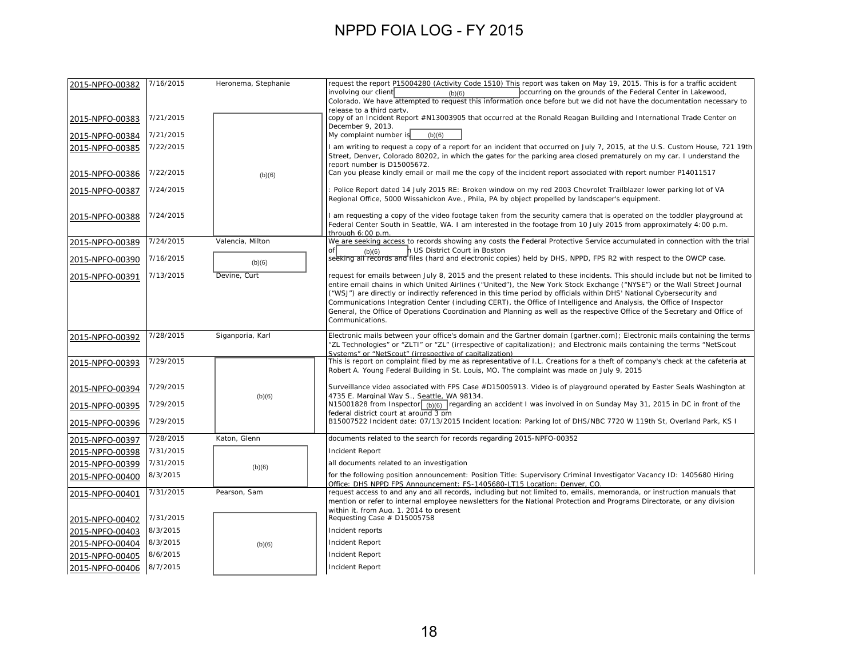| 2015-NPFO-00382 | 7/16/2015 | Heronema, Stephanie | request the report P15004280 (Activity Code 1510) This report was taken on May 19, 2015. This is for a traffic accident<br>involving our client<br>occurring on the grounds of the Federal Center in Lakewood,<br>(b)(6)                                                                                                                                                                                                                                                                                                    |
|-----------------|-----------|---------------------|-----------------------------------------------------------------------------------------------------------------------------------------------------------------------------------------------------------------------------------------------------------------------------------------------------------------------------------------------------------------------------------------------------------------------------------------------------------------------------------------------------------------------------|
|                 |           |                     | Colorado. We have attempted to request this information once before but we did not have the documentation necessary to<br>release to a third party.                                                                                                                                                                                                                                                                                                                                                                         |
| 2015-NPFO-00383 | 7/21/2015 |                     | copy of an Incident Report #N13003905 that occurred at the Ronald Reagan Building and International Trade Center on<br>December 9, 2013.                                                                                                                                                                                                                                                                                                                                                                                    |
| 2015-NPFO-00384 | 7/21/2015 |                     | My complaint number is<br>(b)(6)                                                                                                                                                                                                                                                                                                                                                                                                                                                                                            |
| 2015-NPFO-00385 | 7/22/2015 |                     | I am writing to request a copy of a report for an incident that occurred on July 7, 2015, at the U.S. Custom House, 721 19th<br>Street, Denver, Colorado 80202, in which the gates for the parking area closed prematurely on my car. I understand the<br>report number is D15005672.                                                                                                                                                                                                                                       |
| 2015-NPFO-00386 | 7/22/2015 | (b)(6)              | Can you please kindly email or mail me the copy of the incident report associated with report number P14011517                                                                                                                                                                                                                                                                                                                                                                                                              |
| 2015-NPFO-00387 | 7/24/2015 |                     | Police Report dated 14 July 2015 RE: Broken window on my red 2003 Chevrolet Trailblazer lower parking lot of VA<br>Regional Office, 5000 Wissahickon Ave., Phila, PA by object propelled by landscaper's equipment.                                                                                                                                                                                                                                                                                                         |
| 2015-NPFO-00388 | 7/24/2015 |                     | I am requesting a copy of the video footage taken from the security camera that is operated on the toddler playground at<br>Federal Center South in Seattle, WA. I am interested in the footage from 10 July 2015 from approximately 4:00 p.m.<br>through 6:00 p.m.                                                                                                                                                                                                                                                         |
| 2015-NPFO-00389 | 7/24/2015 | Valencia, Milton    | We are seeking access to records showing any costs the Federal Protective Service accumulated in connection with the trial                                                                                                                                                                                                                                                                                                                                                                                                  |
| 2015-NPFO-00390 | 7/16/2015 | (b)(6)              | h US District Court in Boston<br>ofl<br>(b)(6)<br>seeking all records and files (hard and electronic copies) held by DHS, NPPD, FPS R2 with respect to the OWCP case.                                                                                                                                                                                                                                                                                                                                                       |
| 2015-NPFO-00391 | 7/13/2015 | Devine, Curt        | request for emails between July 8, 2015 and the present related to these incidents. This should include but not be limited to                                                                                                                                                                                                                                                                                                                                                                                               |
|                 |           |                     | entire email chains in which United Airlines ("United"), the New York Stock Exchange ("NYSE") or the Wall Street Journal<br>("WSJ") are directly or indirectly referenced in this time period by officials within DHS' National Cybersecurity and<br>Communications Integration Center (including CERT), the Office of Intelligence and Analysis, the Office of Inspector<br>General, the Office of Operations Coordination and Planning as well as the respective Office of the Secretary and Office of<br>Communications. |
| 2015-NPFO-00392 | 7/28/2015 | Siganporia, Karl    | Electronic mails between your office's domain and the Gartner domain (gartner.com); Electronic mails containing the terms<br>"ZL Technologies" or "ZLTI" or "ZL" (irrespective of capitalization); and Electronic mails containing the terms "NetScout<br>Systems" or "NetScout" (irrespective of capitalization)                                                                                                                                                                                                           |
| 2015-NPFO-00393 | 7/29/2015 |                     | This is report on complaint filed by me as representative of I.L. Creations for a theft of company's check at the cafeteria at<br>Robert A. Young Federal Building in St. Louis, MO. The complaint was made on July 9, 2015                                                                                                                                                                                                                                                                                                 |
| 2015-NPFO-00394 | 7/29/2015 | (b)(6)              | Surveillance video associated with FPS Case #D15005913. Video is of playground operated by Easter Seals Washington at<br>4735 E. Marginal Way S., Seattle, WA 98134.                                                                                                                                                                                                                                                                                                                                                        |
| 2015-NPFO-00395 | 7/29/2015 |                     | N15001828 from Inspector $_{(b)(6)}$ regarding an accident I was involved in on Sunday May 31, 2015 in DC in front of the                                                                                                                                                                                                                                                                                                                                                                                                   |
| 2015-NPFO-00396 | 7/29/2015 |                     | federal district court at around 3 pm<br>B15007522 Incident date: 07/13/2015 Incident location: Parking lot of DHS/NBC 7720 W 119th St, Overland Park, KS I                                                                                                                                                                                                                                                                                                                                                                 |
| 2015-NPFO-00397 | 7/28/2015 | Katon, Glenn        | documents related to the search for records regarding 2015-NPFO-00352                                                                                                                                                                                                                                                                                                                                                                                                                                                       |
| 2015-NPFO-00398 | 7/31/2015 |                     | <b>Incident Report</b>                                                                                                                                                                                                                                                                                                                                                                                                                                                                                                      |
| 2015-NPFO-00399 | 7/31/2015 | (b)(6)              | all documents related to an investigation                                                                                                                                                                                                                                                                                                                                                                                                                                                                                   |
| 2015-NPFO-00400 | 8/3/2015  |                     | for the following position announcement: Position Title: Supervisory Criminal Investigator Vacancy ID: 1405680 Hiring<br>Office: DHS NPPD FPS Announcement: FS-1405680-LT15 Location: Denver, CO.                                                                                                                                                                                                                                                                                                                           |
| 2015-NPFO-00401 | 7/31/2015 | Pearson, Sam        | request access to and any and all records, including but not limited to, emails, memoranda, or instruction manuals that<br>mention or refer to internal employee newsletters for the National Protection and Programs Directorate, or any division<br>within it. from Aua. 1. 2014 to present                                                                                                                                                                                                                               |
| 2015-NPFO-00402 | 7/31/2015 |                     | Requesting Case # D15005758                                                                                                                                                                                                                                                                                                                                                                                                                                                                                                 |
| 2015-NPFO-00403 | 8/3/2015  |                     | Incident reports                                                                                                                                                                                                                                                                                                                                                                                                                                                                                                            |
| 2015-NPFO-00404 | 8/3/2015  | (b)(6)              | <b>Incident Report</b>                                                                                                                                                                                                                                                                                                                                                                                                                                                                                                      |
| 2015-NPFO-00405 | 8/6/2015  |                     | <b>Incident Report</b>                                                                                                                                                                                                                                                                                                                                                                                                                                                                                                      |
| 2015-NPFO-00406 | 8/7/2015  |                     | Incident Report                                                                                                                                                                                                                                                                                                                                                                                                                                                                                                             |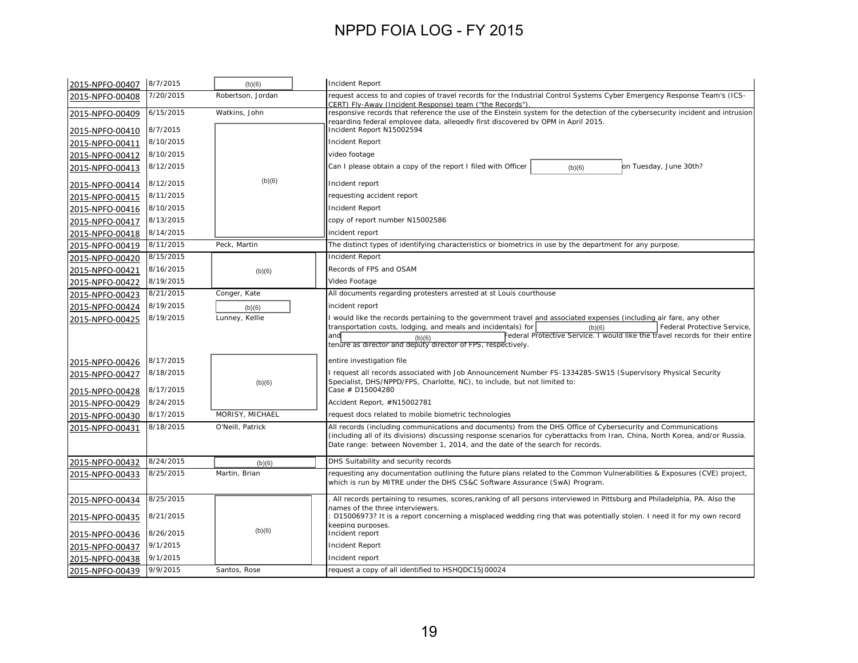| 2015-NPFO-00407 | 8/7/2015  | (b)(6)            | <b>Incident Report</b>                                                                                                                                                                        |
|-----------------|-----------|-------------------|-----------------------------------------------------------------------------------------------------------------------------------------------------------------------------------------------|
| 2015-NPFO-00408 | 7/20/2015 | Robertson, Jordan | request access to and copies of travel records for the Industrial Control Systems Cyber Emergency Response Team's (ICS-                                                                       |
| 2015-NPFO-00409 | 6/15/2015 | Watkins, John     | CERT) Fly-Away (Incident Response) team ("the Records")<br>responsive records that reference the use of the Einstein system for the detection of the cybersecurity incident and intrusion     |
|                 |           |                   | regarding federal employee data, allegedly first discovered by OPM in April 2015.                                                                                                             |
| 2015-NPFO-00410 | 8/7/2015  |                   | Incident Report N15002594                                                                                                                                                                     |
| 2015-NPFO-00411 | 8/10/2015 |                   | <b>Incident Report</b>                                                                                                                                                                        |
| 2015-NPFO-00412 | 8/10/2015 |                   | video footage                                                                                                                                                                                 |
| 2015-NPFO-00413 | 8/12/2015 |                   | Can I please obtain a copy of the report I filed with Officer<br>on Tuesday, June 30th?<br>(b)(6)                                                                                             |
| 2015-NPFO-00414 | 8/12/2015 | (b)(6)            | Incident report                                                                                                                                                                               |
| 2015-NPFO-00415 | 8/11/2015 |                   | requesting accident report                                                                                                                                                                    |
| 2015-NPFO-00416 | 8/10/2015 |                   | Incident Report                                                                                                                                                                               |
| 2015-NPFO-00417 | 8/13/2015 |                   | copy of report number N15002586                                                                                                                                                               |
| 2015-NPFO-00418 | 8/14/2015 |                   | incident report                                                                                                                                                                               |
| 2015-NPFO-00419 | 8/11/2015 | Peck, Martin      | The distinct types of identifying characteristics or biometrics in use by the department for any purpose.                                                                                     |
| 2015-NPFO-00420 | 8/15/2015 |                   | <b>Incident Report</b>                                                                                                                                                                        |
| 2015-NPFO-00421 | 8/16/2015 | (b)(6)            | Records of FPS and OSAM                                                                                                                                                                       |
| 2015-NPFO-00422 | 8/19/2015 |                   | Video Footage                                                                                                                                                                                 |
| 2015-NPFO-00423 | 8/21/2015 | Conger, Kate      | All documents regarding protesters arrested at st Louis courthouse                                                                                                                            |
| 2015-NPFO-00424 | 8/19/2015 | (b)(6)            | incident report                                                                                                                                                                               |
| 2015-NPFO-00425 | 8/19/2015 | Lunney, Kellie    | I would like the records pertaining to the government travel and associated expenses (including air fare, any other                                                                           |
|                 |           |                   | transportation costs, lodging, and meals and incidentals) for<br>Federal Protective Service,<br>(b)(6)<br>Federal Protective Service. I would like the travel records for their entire<br>and |
|                 |           |                   | (b)(6)<br>tenure as director and deputy director of FPS, respectively.                                                                                                                        |
| 2015-NPFO-00426 | 8/17/2015 |                   | entire investigation file                                                                                                                                                                     |
| 2015-NPFO-00427 | 8/18/2015 |                   | I request all records associated with Job Announcement Number FS-1334285-SW15 (Supervisory Physical Security                                                                                  |
| 2015-NPFO-00428 | 8/17/2015 | (b)(6)            | Specialist, DHS/NPPD/FPS, Charlotte, NC), to include, but not limited to:<br>Case # D15004280                                                                                                 |
| 2015-NPFO-00429 | 8/24/2015 |                   | Accident Report, #N15002781                                                                                                                                                                   |
| 2015-NPFO-00430 | 8/17/2015 | MORISY, MICHAEL   | request docs related to mobile biometric technologies                                                                                                                                         |
| 2015-NPFO-00431 | 8/18/2015 | O'Neill, Patrick  | All records (including communications and documents) from the DHS Office of Cybersecurity and Communications                                                                                  |
|                 |           |                   | (including all of its divisions) discussing response scenarios for cyberattacks from Iran, China, North Korea, and/or Russia.                                                                 |
|                 |           |                   | Date range: between November 1, 2014, and the date of the search for records.                                                                                                                 |
| 2015-NPFO-00432 | 8/24/2015 | (b)(6)            | DHS Suitability and security records                                                                                                                                                          |
| 2015-NPFO-00433 | 8/25/2015 | Martin, Brian     | requesting any documentation outlining the future plans related to the Common Vulnerabilities & Exposures (CVE) project,                                                                      |
|                 |           |                   | which is run by MITRE under the DHS CS&C Software Assurance (SwA) Program.                                                                                                                    |
| 2015-NPFO-00434 | 8/25/2015 |                   | All records pertaining to resumes, scores, ranking of all persons interviewed in Pittsburg and Philadelphia, PA. Also the                                                                     |
|                 |           |                   | names of the three interviewers.                                                                                                                                                              |
| 2015-NPFO-00435 | 8/21/2015 |                   | D15006973? It is a report concerning a misplaced wedding ring that was potentially stolen. I need it for my own record<br>keeping purposes.                                                   |
| 2015-NPFO-00436 | 8/26/2015 | (b)(6)            | Incident report                                                                                                                                                                               |
| 2015-NPFO-00437 | 9/1/2015  |                   | Incident Report                                                                                                                                                                               |
| 2015-NPFO-00438 | 9/1/2015  |                   | Incident report                                                                                                                                                                               |
| 2015-NPFO-00439 | 9/9/2015  | Santos, Rose      | request a copy of all identified to HSHQDC15J00024                                                                                                                                            |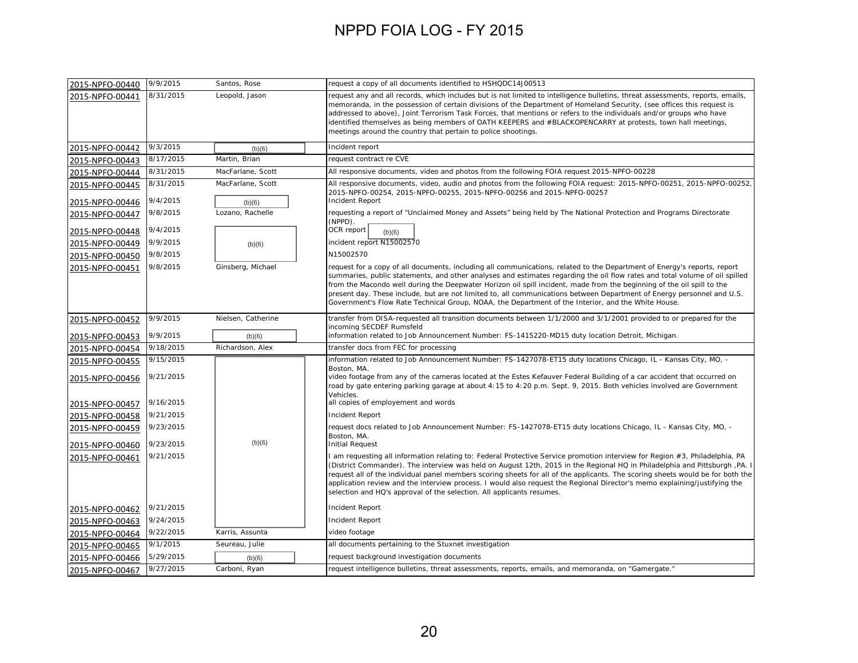| 2015-NPFO-00440 | 9/9/2015  | Santos, Rose       | request a copy of all documents identified to HSHQDC14J00513                                                                                                                                                                                                                                                                                                                                                                                                                                                                                                                                                      |
|-----------------|-----------|--------------------|-------------------------------------------------------------------------------------------------------------------------------------------------------------------------------------------------------------------------------------------------------------------------------------------------------------------------------------------------------------------------------------------------------------------------------------------------------------------------------------------------------------------------------------------------------------------------------------------------------------------|
| 2015-NPFO-00441 | 8/31/2015 | Leopold, Jason     | request any and all records, which includes but is not limited to intelligence bulletins, threat assessments, reports, emails,<br>memoranda, in the possession of certain divisions of the Department of Homeland Security, (see offices this request is<br>addressed to above), Joint Terrorism Task Forces, that mentions or refers to the individuals and/or groups who have<br>identified themselves as being members of OATH KEEPERS and #BLACKOPENCARRY at protests, town hall meetings,<br>meetings around the country that pertain to police shootings.                                                   |
| 2015-NPFO-00442 | 9/3/2015  | (b)(6)             | Incident report                                                                                                                                                                                                                                                                                                                                                                                                                                                                                                                                                                                                   |
| 2015-NPFO-00443 | 8/17/2015 | Martin, Brian      | request contract re CVE                                                                                                                                                                                                                                                                                                                                                                                                                                                                                                                                                                                           |
| 2015-NPFO-00444 | 8/31/2015 | MacFarlane, Scott  | All responsive documents, video and photos from the following FOIA request 2015-NPFO-00228                                                                                                                                                                                                                                                                                                                                                                                                                                                                                                                        |
| 2015-NPFO-00445 | 8/31/2015 | MacFarlane, Scott  | All responsive documents, video, audio and photos from the following FOIA request: 2015-NPFO-00251, 2015-NPFO-00252,<br>2015-NPFO-00254, 2015-NPFO-00255, 2015-NPFO-00256 and 2015-NPFO-00257                                                                                                                                                                                                                                                                                                                                                                                                                     |
| 2015-NPFO-00446 | 9/4/2015  | (b)(6)             | <b>Incident Report</b>                                                                                                                                                                                                                                                                                                                                                                                                                                                                                                                                                                                            |
| 2015-NPFO-00447 | 9/8/2015  | Lozano, Rachelle   | requesting a report of "Unclaimed Money and Assets" being held by The National Protection and Programs Directorate<br>(NPPD).                                                                                                                                                                                                                                                                                                                                                                                                                                                                                     |
| 2015-NPFO-00448 | 9/4/2015  |                    | OCR report<br>(b)(6)                                                                                                                                                                                                                                                                                                                                                                                                                                                                                                                                                                                              |
| 2015-NPFO-00449 | 9/9/2015  | (b)(6)             | incident report N15002570                                                                                                                                                                                                                                                                                                                                                                                                                                                                                                                                                                                         |
| 2015-NPFO-00450 | 9/8/2015  |                    | N15002570                                                                                                                                                                                                                                                                                                                                                                                                                                                                                                                                                                                                         |
| 2015-NPFO-00451 | 9/8/2015  | Ginsberg, Michael  | request for a copy of all documents, including all communications, related to the Department of Energy's reports, report<br>summaries, public statements, and other analyses and estimates regarding the oil flow rates and total volume of oil spilled<br>from the Macondo well during the Deepwater Horizon oil spill incident, made from the beginning of the oil spill to the<br>present day. These include, but are not limited to, all communications between Department of Energy personnel and U.S.<br>Government's Flow Rate Technical Group, NOAA, the Department of the Interior, and the White House. |
| 2015-NPFO-00452 | 9/9/2015  | Nielsen, Catherine | transfer from DISA-requested all transition documents between 1/1/2000 and 3/1/2001 provided to or prepared for the<br>incoming SECDEF Rumsfeld                                                                                                                                                                                                                                                                                                                                                                                                                                                                   |
| 2015-NPFO-00453 | 9/9/2015  | (b)(6)             | information related to Job Announcement Number: FS-1415220-MD15 duty location Detroit, Michigan.                                                                                                                                                                                                                                                                                                                                                                                                                                                                                                                  |
| 2015-NPFO-00454 | 9/18/2015 | Richardson, Alex   | transfer docs from FEC for processing                                                                                                                                                                                                                                                                                                                                                                                                                                                                                                                                                                             |
| 2015-NPFO-00455 | 9/15/2015 |                    | information related to Job Announcement Number: FS-1427078-ET15 duty locations Chicago, IL - Kansas City, MO, -                                                                                                                                                                                                                                                                                                                                                                                                                                                                                                   |
| 2015-NPFO-00456 | 9/21/2015 |                    | Boston, MA.<br>video footage from any of the cameras located at the Estes Kefauver Federal Building of a car accident that occurred on<br>road by gate entering parking garage at about 4:15 to 4:20 p.m. Sept. 9, 2015. Both vehicles involved are Government<br>Vehicles.                                                                                                                                                                                                                                                                                                                                       |
| 2015-NPFO-00457 | 9/16/2015 |                    | all copies of employement and words                                                                                                                                                                                                                                                                                                                                                                                                                                                                                                                                                                               |
| 2015-NPFO-00458 | 9/21/2015 |                    | <b>Incident Report</b>                                                                                                                                                                                                                                                                                                                                                                                                                                                                                                                                                                                            |
| 2015-NPFO-00459 | 9/23/2015 |                    | request docs related to Job Announcement Number: FS-1427078-ET15 duty locations Chicago, IL - Kansas City, MO, -<br>Boston, MA.                                                                                                                                                                                                                                                                                                                                                                                                                                                                                   |
| 2015-NPFO-00460 | 9/23/2015 | (b)(6)             | <b>Initial Request</b>                                                                                                                                                                                                                                                                                                                                                                                                                                                                                                                                                                                            |
| 2015-NPFO-00461 | 9/21/2015 |                    | am requesting all information relating to: Federal Protective Service promotion interview for Region #3, Philadelphia, PA<br>(District Commander). The interview was held on August 12th, 2015 in the Regional HQ in Philadelphia and Pittsburgh, PA. I<br>request all of the individual panel members scoring sheets for all of the applicants. The scoring sheets would be for both the<br>application review and the interview process. I would also request the Regional Director's memo explaining/justifying the<br>selection and HQ's approval of the selection. All applicants resumes.                   |
| 2015-NPFO-00462 | 9/21/2015 |                    | <b>Incident Report</b>                                                                                                                                                                                                                                                                                                                                                                                                                                                                                                                                                                                            |
| 2015-NPFO-00463 | 9/24/2015 |                    | <b>Incident Report</b>                                                                                                                                                                                                                                                                                                                                                                                                                                                                                                                                                                                            |
| 2015-NPFO-00464 | 9/22/2015 | Karris, Assunta    | video footage                                                                                                                                                                                                                                                                                                                                                                                                                                                                                                                                                                                                     |
| 2015-NPFO-00465 | 9/1/2015  | Seureau, Julie     | all documents pertaining to the Stuxnet investigation                                                                                                                                                                                                                                                                                                                                                                                                                                                                                                                                                             |
| 2015-NPFO-00466 | 5/29/2015 | (b)(6)             | request background investigation documents                                                                                                                                                                                                                                                                                                                                                                                                                                                                                                                                                                        |
| 2015-NPFO-00467 | 9/27/2015 | Carboni, Ryan      | request intelligence bulletins, threat assessments, reports, emails, and memoranda, on "Gamergate."                                                                                                                                                                                                                                                                                                                                                                                                                                                                                                               |